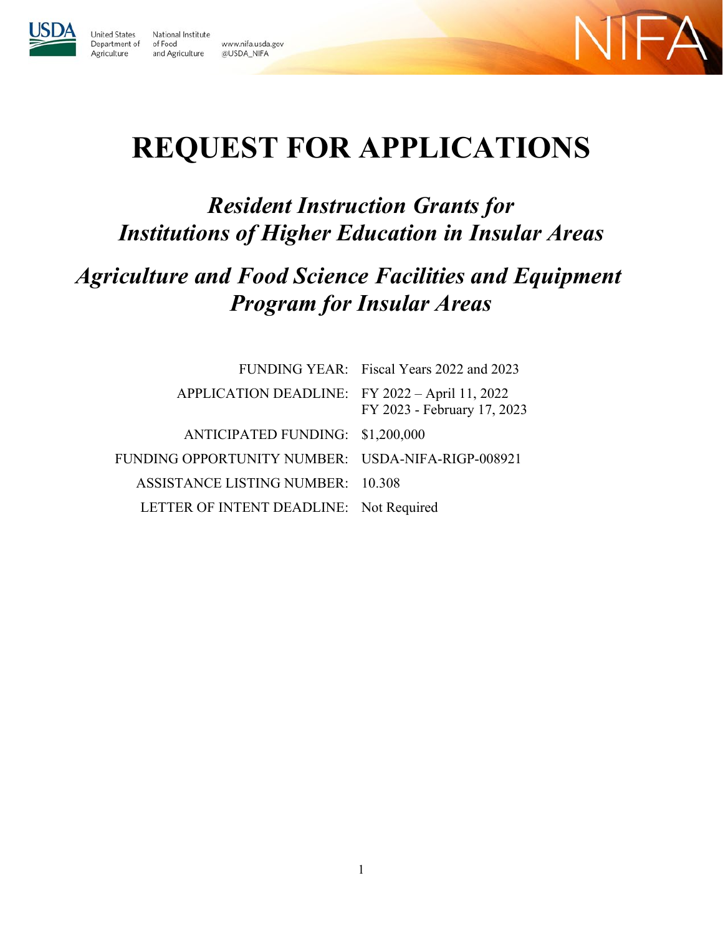

Agriculture

**United States** National Institute Department of of Food www.nifa.usda.gov and Agriculture @USDA\_NIFA



# **REQUEST FOR APPLICATIONS**

## *Resident Instruction Grants for Institutions of Higher Education in Insular Areas*

## *Agriculture and Food Science Facilities and Equipment Program for Insular Areas*

|                                                   | FUNDING YEAR: Fiscal Years 2022 and 2023 |
|---------------------------------------------------|------------------------------------------|
| APPLICATION DEADLINE: FY 2022 - April 11, 2022    | FY 2023 - February 17, 2023              |
| ANTICIPATED FUNDING: \$1,200,000                  |                                          |
| FUNDING OPPORTUNITY NUMBER: USDA-NIFA-RIGP-008921 |                                          |
| ASSISTANCE LISTING NUMBER: 10.308                 |                                          |
| LETTER OF INTENT DEADLINE: Not Required           |                                          |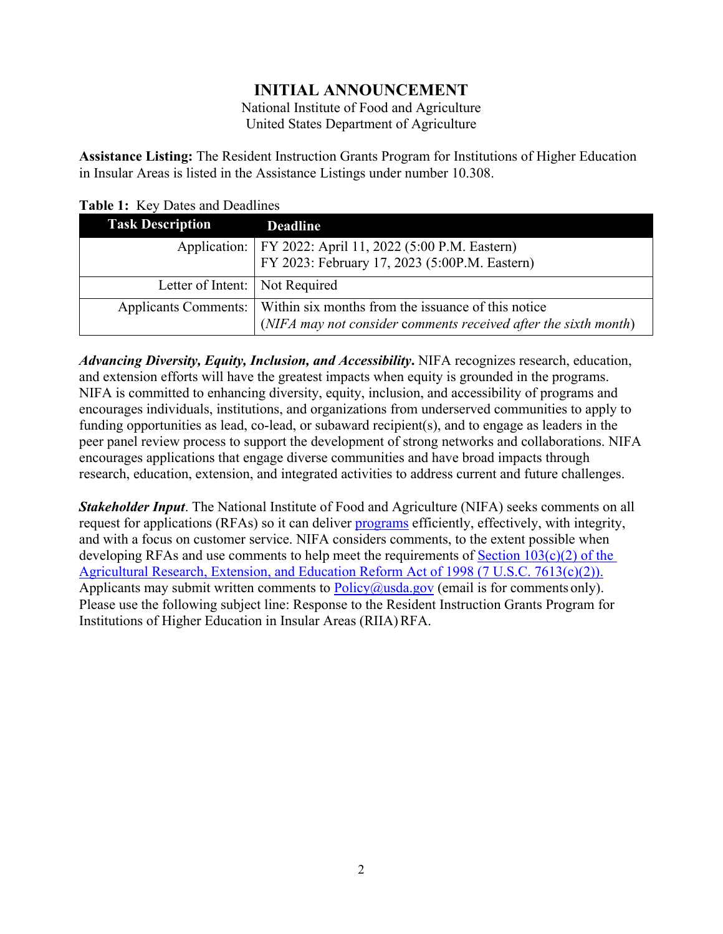## **INITIAL ANNOUNCEMENT**

National Institute of Food and Agriculture United States Department of Agriculture

<span id="page-1-0"></span>**Assistance Listing:** The Resident Instruction Grants Program for Institutions of Higher Education in Insular Areas is listed in the Assistance Listings under number 10.308.

| <b>Task Description</b>        | <b>Deadline</b>                                                                                             |
|--------------------------------|-------------------------------------------------------------------------------------------------------------|
|                                | Application:   FY 2022: April 11, 2022 (5:00 P.M. Eastern)<br>FY 2023: February 17, 2023 (5:00P.M. Eastern) |
|                                |                                                                                                             |
| Letter of Intent: Not Required |                                                                                                             |
|                                | Applicants Comments:   Within six months from the issuance of this notice                                   |
|                                | (NIFA may not consider comments received after the sixth month)                                             |

## <span id="page-1-1"></span>**Table 1:** Key Dates and Deadlines

*Advancing Diversity, Equity, Inclusion, and Accessibility***.** NIFA recognizes research, education, and extension efforts will have the greatest impacts when equity is grounded in the programs. NIFA is committed to enhancing diversity, equity, inclusion, and accessibility of programs and encourages individuals, institutions, and organizations from underserved communities to apply to funding opportunities as lead, co-lead, or subaward recipient(s), and to engage as leaders in the peer panel review process to support the development of strong networks and collaborations. NIFA encourages applications that engage diverse communities and have broad impacts through research, education, extension, and integrated activities to address current and future challenges.

*Stakeholder Input*. The National Institute of Food and Agriculture (NIFA) seeks comments on all request for applications (RFAs) so it can deliver **programs** efficiently, effectively, with integrity, and with a focus on customer service. NIFA considers comments, to the extent possible when developing RFAs and use comments to help meet the requirements of [Section 103\(c\)\(2\) of the](https://uscode.house.gov/view.xhtml?req=(title:7%20section:7613%20edition:prelim)%20OR%20(granuleid:USC-prelim-title7-section7613)&f=treesort&edition=prelim&num=0&jumpTo=true)  [Agricultural Research, Extension, and Education Reform Act of 1998 \(7 U.S.C. 7613\(c\)\(2\)\).](https://uscode.house.gov/view.xhtml?req=(title:7%20section:7613%20edition:prelim)%20OR%20(granuleid:USC-prelim-title7-section7613)&f=treesort&edition=prelim&num=0&jumpTo=true) Applicants may submit written comments to  $Policy@usda.gov$  (email is for comments only). Please use the following subject line: Response to the Resident Instruction Grants Program for Institutions of Higher Education in Insular Areas (RIIA) RFA.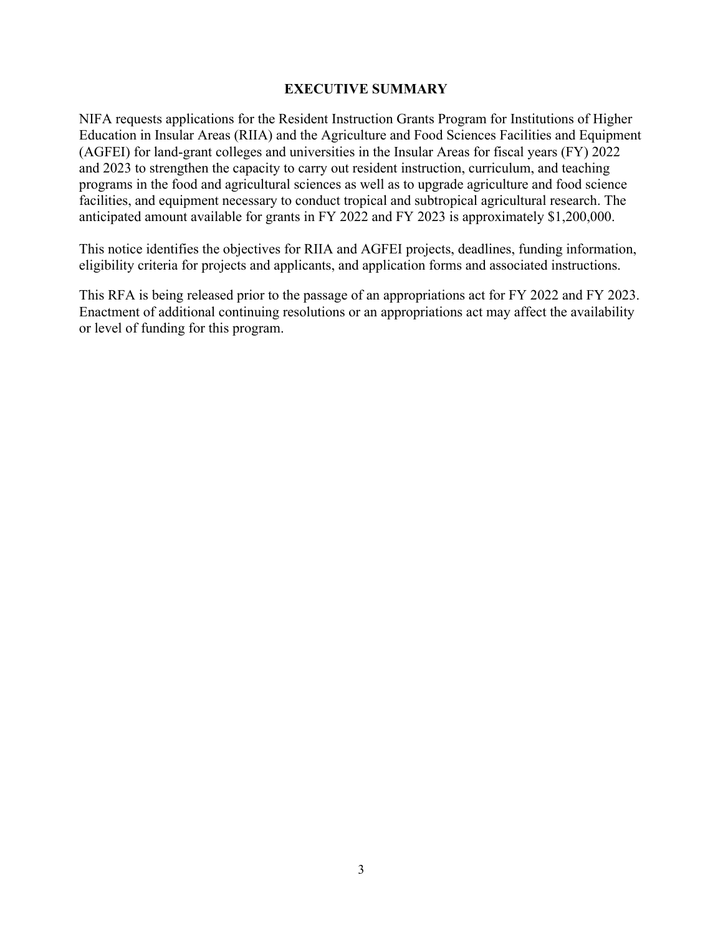#### **EXECUTIVE SUMMARY**

<span id="page-2-0"></span>NIFA requests applications for the Resident Instruction Grants Program for Institutions of Higher Education in Insular Areas (RIIA) and the Agriculture and Food Sciences Facilities and Equipment (AGFEI) for land-grant colleges and universities in the Insular Areas for fiscal years (FY) 2022 and 2023 to strengthen the capacity to carry out resident instruction, curriculum, and teaching programs in the food and agricultural sciences as well as to upgrade agriculture and food science facilities, and equipment necessary to conduct tropical and subtropical agricultural research. The anticipated amount available for grants in FY 2022 and FY 2023 is approximately \$1,200,000.

This notice identifies the objectives for RIIA and AGFEI projects, deadlines, funding information, eligibility criteria for projects and applicants, and application forms and associated instructions.

This RFA is being released prior to the passage of an appropriations act for FY 2022 and FY 2023. Enactment of additional continuing resolutions or an appropriations act may affect the availability or level of funding for this program.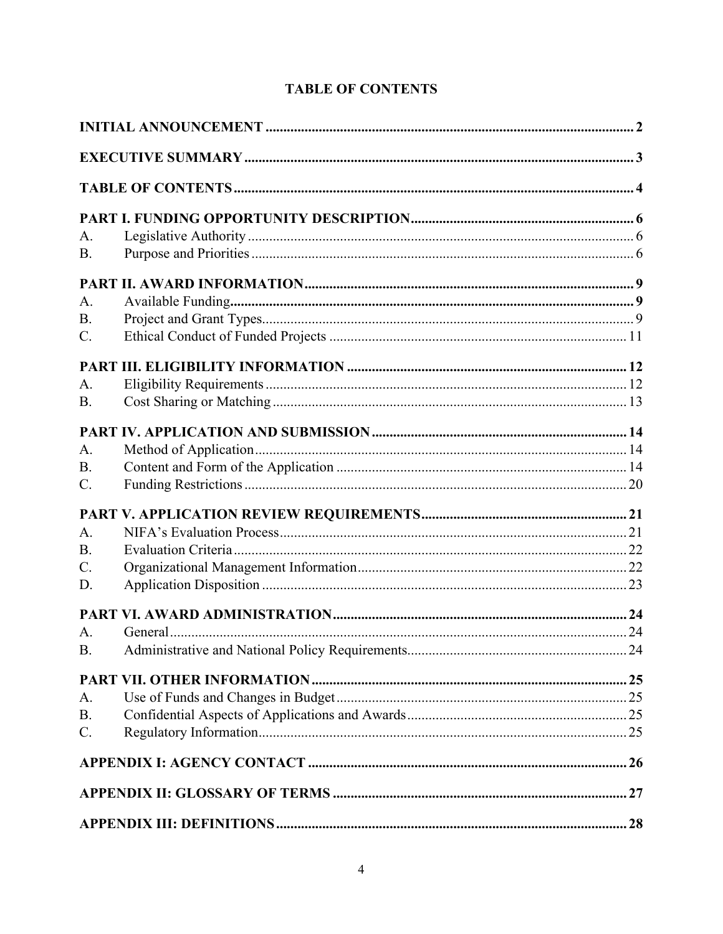|  | <b>TABLE OF CONTENTS</b> |
|--|--------------------------|
|--|--------------------------|

<span id="page-3-0"></span>

| A.<br><b>B.</b> |  |  |
|-----------------|--|--|
|                 |  |  |
| A.              |  |  |
| <b>B.</b>       |  |  |
| $\mathbf{C}$ .  |  |  |
|                 |  |  |
| A <sub>1</sub>  |  |  |
| <b>B.</b>       |  |  |
|                 |  |  |
| A.              |  |  |
| <b>B.</b>       |  |  |
| $C_{\cdot}$     |  |  |
|                 |  |  |
| $A$ .           |  |  |
| <b>B.</b>       |  |  |
| $C$ .           |  |  |
| D.              |  |  |
|                 |  |  |
| A.              |  |  |
| <b>B.</b>       |  |  |
|                 |  |  |
| A.              |  |  |
| <b>B.</b>       |  |  |
| $C$ .           |  |  |
|                 |  |  |
|                 |  |  |
|                 |  |  |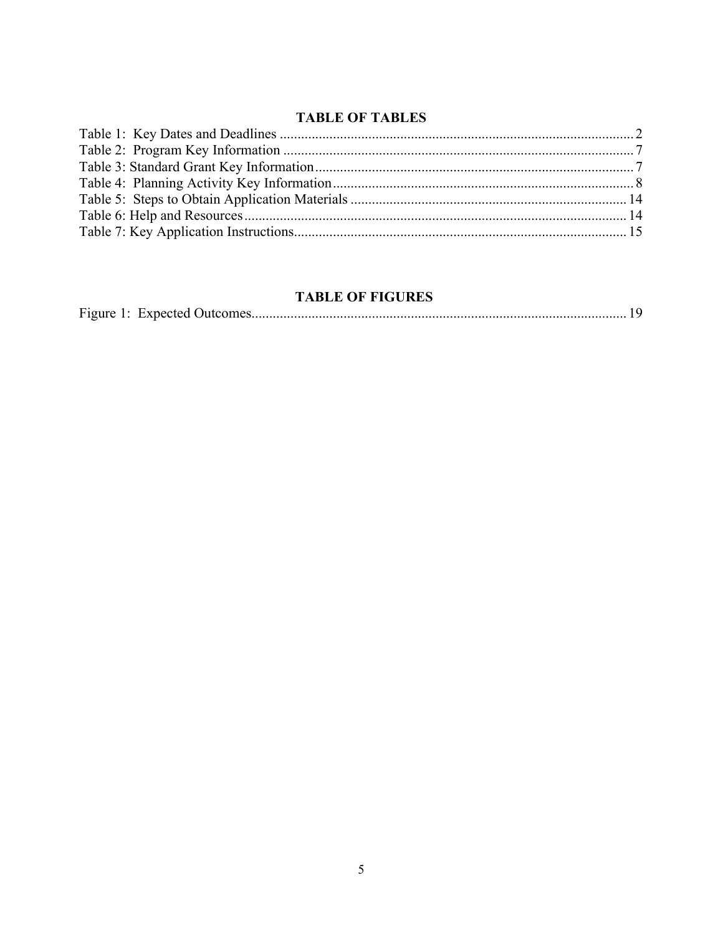## **TABLE OF TABLES**

## **TABLE OF FIGURES**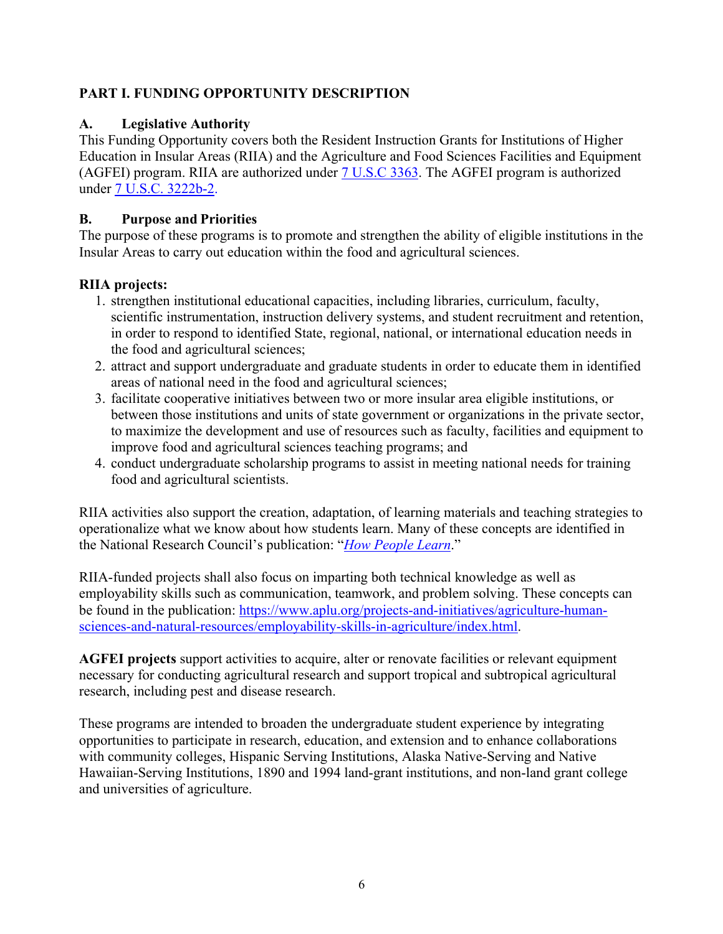## <span id="page-5-0"></span>**PART I. FUNDING OPPORTUNITY DESCRIPTION**

## <span id="page-5-1"></span>**A. Legislative Authority**

This Funding Opportunity covers both the Resident Instruction Grants for Institutions of Higher Education in Insular Areas (RIIA) and the Agriculture and Food Sciences Facilities and Equipment (AGFEI) program. RIIA are authorized under [7 U.S.C 3363.](https://uscode.house.gov/view.xhtml?req=granuleid:USC-prelim-title7-section3363&num=0&edition=prelim) The AGFEI program is authorized under [7 U.S.C. 3222b-2.](https://uscode.house.gov/view.xhtml?hl=false&edition=prelim&req=granuleid%3AUSC-prelim-title7-section3222b-2&num=0&saved=%7CKHRpdGxlOjcgc2VjdGlvbjozMjIyYiBlZGl0aW9uOnByZWxpbSk%3D%7C%7C%7C0%7Cfalse%7Cprelim)

## <span id="page-5-2"></span>**B. Purpose and Priorities**

The purpose of these programs is to promote and strengthen the ability of eligible institutions in the Insular Areas to carry out education within the food and agricultural sciences.

## **RIIA projects:**

- 1. strengthen institutional educational capacities, including libraries, curriculum, faculty, scientific instrumentation, instruction delivery systems, and student recruitment and retention, in order to respond to identified State, regional, national, or international education needs in the food and agricultural sciences;
- 2. attract and support undergraduate and graduate students in order to educate them in identified areas of national need in the food and agricultural sciences;
- 3. facilitate cooperative initiatives between two or more insular area eligible institutions, or between those institutions and units of state government or organizations in the private sector, to maximize the development and use of resources such as faculty, facilities and equipment to improve food and agricultural sciences teaching programs; and
- 4. conduct undergraduate scholarship programs to assist in meeting national needs for training food and agricultural scientists.

RIIA activities also support the creation, adaptation, of learning materials and teaching strategies to operationalize what we know about how students learn. Many of these concepts are identified in the National Research Council's publication: "*[How](http://www.colorado.edu/MCDB/LearningBiology/readings/How-people-learn.pdf) [People Learn](http://www.nap.edu/catalog/9853/how-people-learn-brain-mind-experience-and-school-expanded-edition)*[."](http://www.colorado.edu/MCDB/LearningBiology/readings/How-people-learn.pdf)

RIIA-funded projects shall also focus on imparting both technical knowledge as well as employability skills such as communication, teamwork, and problem solving. These concepts can be found in the publication: [https://www.aplu.org/projects-and-initiatives/agriculture-human](https://www.aplu.org/projects-and-initiatives/agriculture-human-sciences-and-natural-resources/employability-skills-in-agriculture/index.html)[sciences-and-natural-resources/employability-skills-in-agriculture/index.html.](https://www.aplu.org/projects-and-initiatives/agriculture-human-sciences-and-natural-resources/employability-skills-in-agriculture/index.html)

**AGFEI projects** support activities to acquire, alter or renovate facilities or relevant equipment necessary for conducting agricultural research and support tropical and subtropical agricultural research, including pest and disease research.

These programs are intended to broaden the undergraduate student experience by integrating opportunities to participate in research, education, and extension and to enhance collaborations with community colleges, Hispanic Serving Institutions, Alaska Native-Serving and Native Hawaiian-Serving Institutions, 1890 and 1994 land-grant institutions, and non-land grant college and universities of agriculture.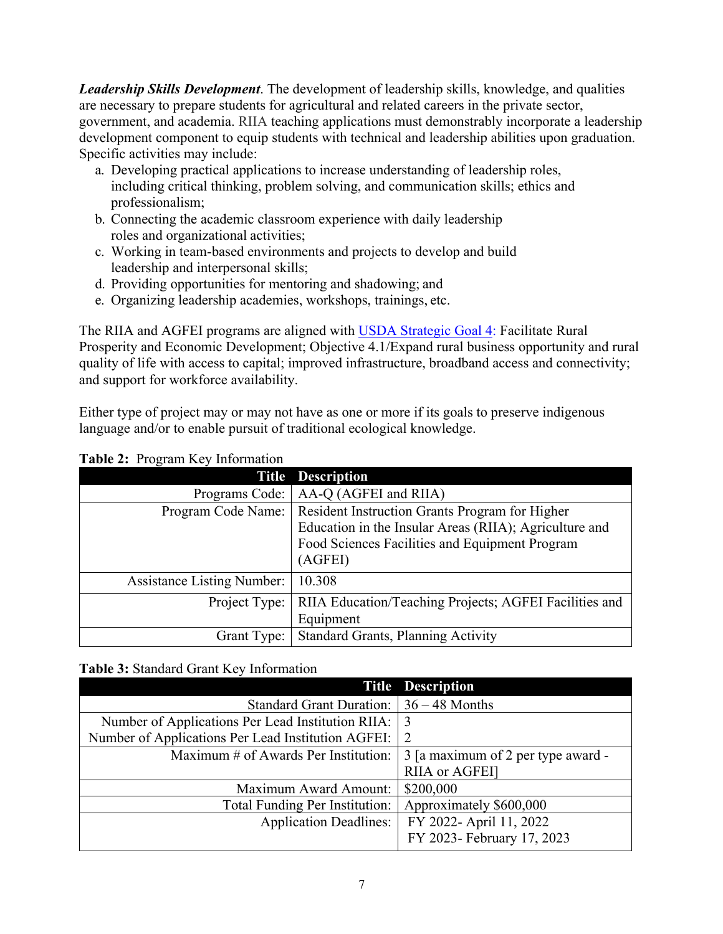*Leadership Skills Development*. The development of leadership skills, knowledge, and qualities are necessary to prepare students for agricultural and related careers in the private sector, government, and academia. RIIA teaching applications must demonstrably incorporate a leadership development component to equip students with technical and leadership abilities upon graduation. Specific activities may include:

- a. Developing practical applications to increase understanding of leadership roles, including critical thinking, problem solving, and communication skills; ethics and professionalism;
- b. Connecting the academic classroom experience with daily leadership roles and organizational activities;
- c. Working in team-based environments and projects to develop and build leadership and interpersonal skills;
- d. Providing opportunities for mentoring and shadowing; and
- e. Organizing leadership academies, workshops, trainings, etc.

The RIIA and AGFEI programs are aligned with [USDA Strategic Goal 4:](https://www.usda.gov/sites/default/files/documents/usda-strategic-plan-2018-2022.pdf) Facilitate Rural Prosperity and Economic Development; Objective 4.1/Expand rural business opportunity and rural quality of life with access to capital; improved infrastructure, broadband access and connectivity; and support for workforce availability.

Either type of project may or may not have as one or more if its goals to preserve indigenous language and/or to enable pursuit of traditional ecological knowledge.

|                                   | <b>Title Description</b>                                            |
|-----------------------------------|---------------------------------------------------------------------|
| Programs Code:                    | AA-Q (AGFEI and RIIA)                                               |
|                                   | Program Code Name:   Resident Instruction Grants Program for Higher |
|                                   | Education in the Insular Areas (RIIA); Agriculture and              |
|                                   | Food Sciences Facilities and Equipment Program                      |
|                                   | (AGFEI)                                                             |
| <b>Assistance Listing Number:</b> | 10.308                                                              |
| Project Type:                     | <b>RIIA Education/Teaching Projects; AGFEI Facilities and</b>       |
|                                   | Equipment                                                           |
|                                   | Grant Type:   Standard Grants, Planning Activity                    |

## <span id="page-6-0"></span>**Table 2:** Program Key Information

## <span id="page-6-1"></span>**Table 3:** Standard Grant Key Information

|                                                    | <b>Title Description</b>           |
|----------------------------------------------------|------------------------------------|
| Standard Grant Duration:                           | $36 - 48$ Months                   |
| Number of Applications Per Lead Institution RIIA:  | 3                                  |
| Number of Applications Per Lead Institution AGFEI: | $\overline{2}$                     |
| Maximum # of Awards Per Institution:               | 3 [a maximum of 2 per type award - |
|                                                    | RIIA or AGFEI]                     |
| <b>Maximum Award Amount:</b>                       | \$200,000                          |
| Total Funding Per Institution:                     | Approximately \$600,000            |
| <b>Application Deadlines:</b>                      | FY 2022- April 11, 2022            |
|                                                    | FY 2023- February 17, 2023         |
|                                                    |                                    |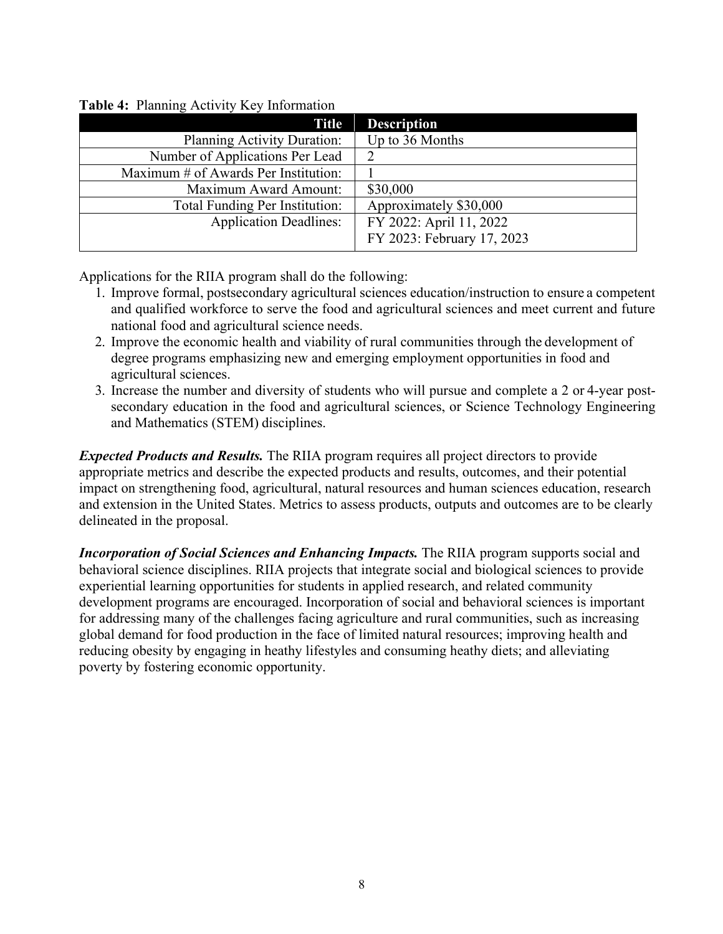| Title                                | <b>Description</b>         |
|--------------------------------------|----------------------------|
| Planning Activity Duration:          | Up to 36 Months            |
| Number of Applications Per Lead      |                            |
| Maximum # of Awards Per Institution: |                            |
| Maximum Award Amount:                | \$30,000                   |
| Total Funding Per Institution:       | Approximately \$30,000     |
| <b>Application Deadlines:</b>        | FY 2022: April 11, 2022    |
|                                      | FY 2023: February 17, 2023 |

#### <span id="page-7-0"></span>**Table 4:** Planning Activity Key Information

Applications for the RIIA program shall do the following:

- 1. Improve formal, postsecondary agricultural sciences education/instruction to ensure a competent and qualified workforce to serve the food and agricultural sciences and meet current and future national food and agricultural science needs.
- 2. Improve the economic health and viability of rural communities through the development of degree programs emphasizing new and emerging employment opportunities in food and agricultural sciences.
- 3. Increase the number and diversity of students who will pursue and complete a 2 or 4-year postsecondary education in the food and agricultural sciences, or Science Technology Engineering and Mathematics (STEM) disciplines.

*Expected Products and Results.* The RIIA program requires all project directors to provide appropriate metrics and describe the expected products and results, outcomes, and their potential impact on strengthening food, agricultural, natural resources and human sciences education, research and extension in the United States. Metrics to assess products, outputs and outcomes are to be clearly delineated in the proposal.

*Incorporation of Social Sciences and Enhancing Impacts.* The RIIA program supports social and behavioral science disciplines. RIIA projects that integrate social and biological sciences to provide experiential learning opportunities for students in applied research, and related community development programs are encouraged. Incorporation of social and behavioral sciences is important for addressing many of the challenges facing agriculture and rural communities, such as increasing global demand for food production in the face of limited natural resources; improving health and reducing obesity by engaging in heathy lifestyles and consuming heathy diets; and alleviating poverty by fostering economic opportunity.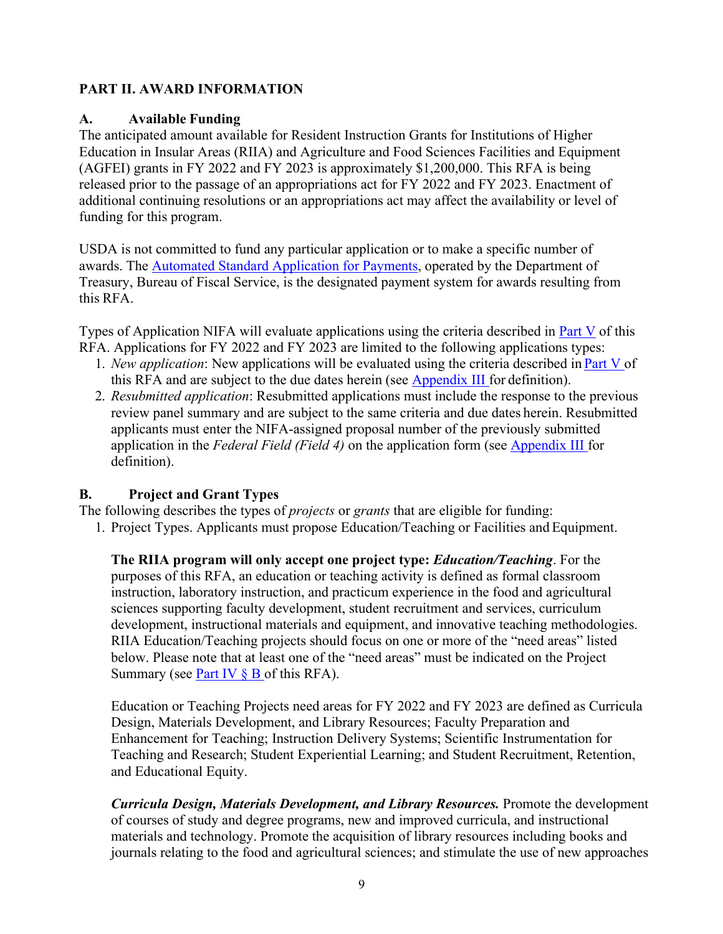## <span id="page-8-0"></span>**PART II. AWARD INFORMATION**

## <span id="page-8-1"></span>**A. Available Funding**

The anticipated amount available for Resident Instruction Grants for Institutions of Higher Education in Insular Areas (RIIA) and Agriculture and Food Sciences Facilities and Equipment (AGFEI) grants in FY 2022 and FY 2023 is approximately \$1,200,000. This RFA is being released prior to the passage of an appropriations act for FY 2022 and FY 2023. Enactment of additional continuing resolutions or an appropriations act may affect the availability or level of funding for this program.

USDA is not committed to fund any particular application or to make a specific number of awards. The [Automated Standard Application for Payments,](https://www.fiscal.treasury.gov/fsservices/gov/pmt/asap/asap_home.htm) operated by the Department of Treasury, Bureau of Fiscal Service, is the designated payment system for awards resulting from this RFA.

Types of Application NIFA will evaluate applications using the criteria described in Part V of this RFA. Applications for FY 2022 and FY 2023 are limited to the following applications types:

- 1. *New application*: New applications will be evaluated using the criteria described in Part V of this RFA and are subject to the due dates herein (see Appendix III for definition).
- 2. *Resubmitted application*: Resubmitted applications must include the response to the previous review panel summary and are subject to the same criteria and due dates herein. Resubmitted applicants must enter the NIFA-assigned proposal number of the previously submitted application in the *Federal Field (Field 4)* on the application form (see Appendix III for definition).

## <span id="page-8-2"></span>**B. Project and Grant Types**

The following describes the types of *projects* or *grants* that are eligible for funding:

1. Project Types. Applicants must propose Education/Teaching or Facilities and Equipment.

**The RIIA program will only accept one project type:** *Education/Teaching*. For the purposes of this RFA, an education or teaching activity is defined as formal classroom instruction, laboratory instruction, and practicum experience in the food and agricultural sciences supporting faculty development, student recruitment and services, curriculum development, instructional materials and equipment, and innovative teaching methodologies. RIIA Education/Teaching projects should focus on one or more of the "need areas" listed below. Please note that at least one of the "need areas" must be indicated on the Project Summary (see Part IV  $\S$  B of this RFA).

Education or Teaching Projects need areas for FY 2022 and FY 2023 are defined as Curricula Design, Materials Development, and Library Resources; Faculty Preparation and Enhancement for Teaching; Instruction Delivery Systems; Scientific Instrumentation for Teaching and Research; Student Experiential Learning; and Student Recruitment, Retention, and Educational Equity.

*Curricula Design, Materials Development, and Library Resources.* Promote the development of courses of study and degree programs, new and improved curricula, and instructional materials and technology. Promote the acquisition of library resources including books and journals relating to the food and agricultural sciences; and stimulate the use of new approaches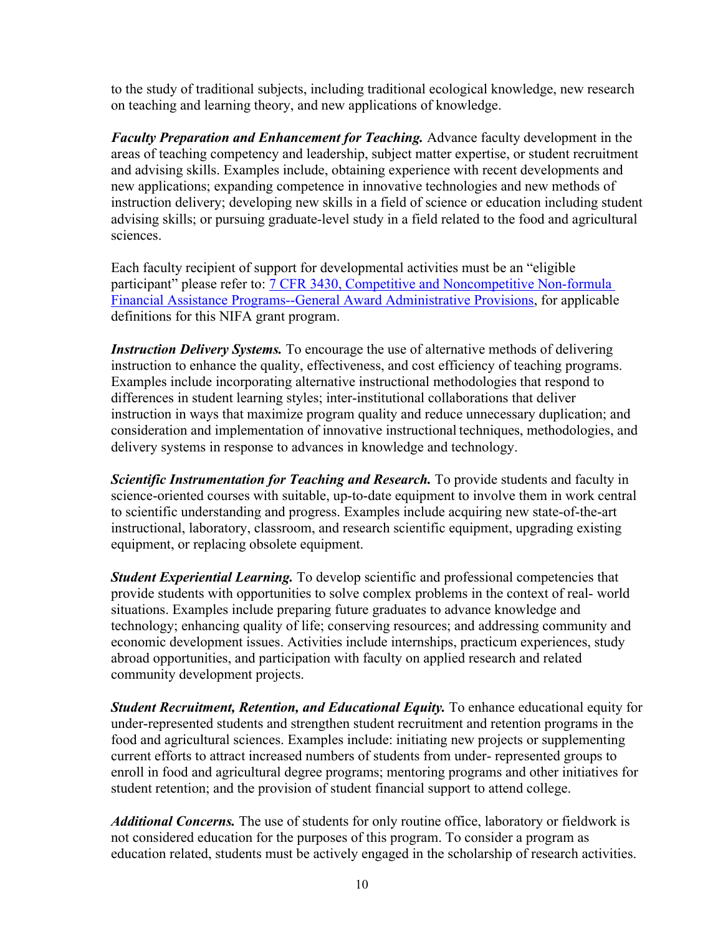to the study of traditional subjects, including traditional ecological knowledge, new research on teaching and learning theory, and new applications of knowledge.

*Faculty Preparation and Enhancement for Teaching.* Advance faculty development in the areas of teaching competency and leadership, subject matter expertise, or student recruitment and advising skills. Examples include, obtaining experience with recent developments and new applications; expanding competence in innovative technologies and new methods of instruction delivery; developing new skills in a field of science or education including student advising skills; or pursuing graduate-level study in a field related to the food and agricultural sciences.

Each faculty recipient of support for developmental activities must be an "eligible participant" please refer to: [7 CFR 3430, Competitive and Noncompetitive Non-formula](https://www.ecfr.gov/current/title-7/subtitle-B/chapter-XXXIV/part-3430) [Financial Assistance](http://www.ecfr.gov/cgi-bin/text-idx?c=ecfr&amp%3BSID=2a6f6bfbef4c918616eebe5353d0793c&amp%3Brgn=div5&amp%3Bview=text&amp%3Bnode=7%3A15.1.12.2.13&amp%3Bidno=7&amp%3B7%3A15.1.12.2.13.1.17.2) [Programs--General Award Administrative Provisions,](https://www.ecfr.gov/current/title-7/subtitle-B/chapter-XXXIV/part-3430) for applicable definitions for this NIFA grant program.

*Instruction Delivery Systems.* To encourage the use of alternative methods of delivering instruction to enhance the quality, effectiveness, and cost efficiency of teaching programs. Examples include incorporating alternative instructional methodologies that respond to differences in student learning styles; inter-institutional collaborations that deliver instruction in ways that maximize program quality and reduce unnecessary duplication; and consideration and implementation of innovative instructional techniques, methodologies, and delivery systems in response to advances in knowledge and technology.

**Scientific Instrumentation for Teaching and Research.** To provide students and faculty in science-oriented courses with suitable, up-to-date equipment to involve them in work central to scientific understanding and progress. Examples include acquiring new state-of-the-art instructional, laboratory, classroom, and research scientific equipment, upgrading existing equipment, or replacing obsolete equipment.

*Student Experiential Learning.* To develop scientific and professional competencies that provide students with opportunities to solve complex problems in the context of real- world situations. Examples include preparing future graduates to advance knowledge and technology; enhancing quality of life; conserving resources; and addressing community and economic development issues. Activities include internships, practicum experiences, study abroad opportunities, and participation with faculty on applied research and related community development projects.

*Student Recruitment, Retention, and Educational Equity.* To enhance educational equity for under-represented students and strengthen student recruitment and retention programs in the food and agricultural sciences. Examples include: initiating new projects or supplementing current efforts to attract increased numbers of students from under- represented groups to enroll in food and agricultural degree programs; mentoring programs and other initiatives for student retention; and the provision of student financial support to attend college.

*Additional Concerns.* The use of students for only routine office, laboratory or fieldwork is not considered education for the purposes of this program. To consider a program as education related, students must be actively engaged in the scholarship of research activities.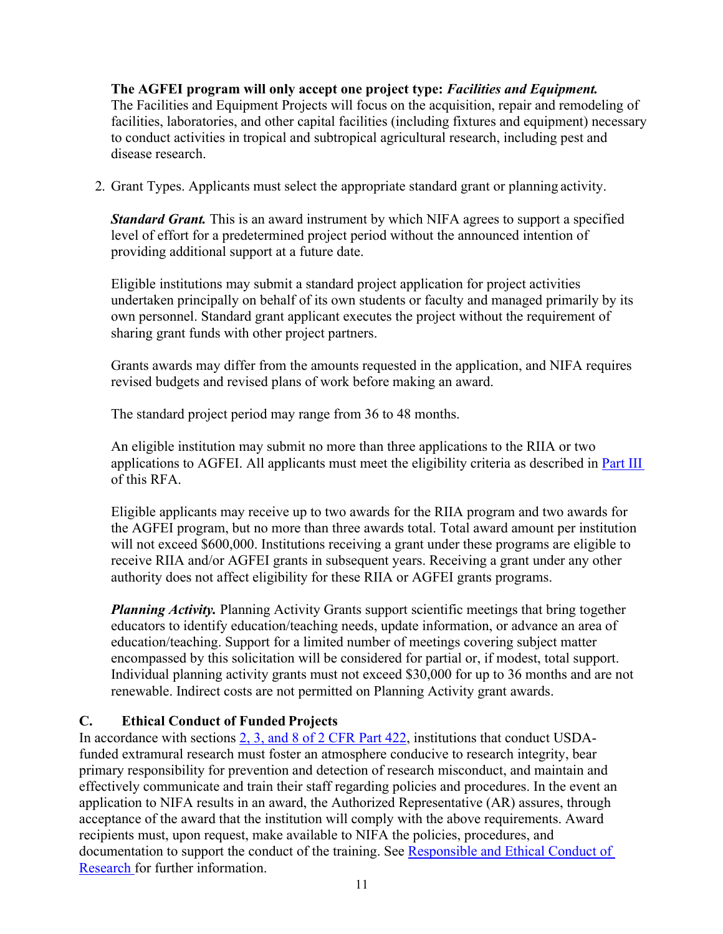## **The AGFEI program will only accept one project type:** *Facilities and Equipment.* The Facilities and Equipment Projects will focus on the acquisition, repair and remodeling of facilities, laboratories, and other capital facilities (including fixtures and equipment) necessary to conduct activities in tropical and subtropical agricultural research, including pest and disease research.

2. Grant Types. Applicants must select the appropriate standard grant or planning activity.

*Standard Grant.* This is an award instrument by which NIFA agrees to support a specified level of effort for a predetermined project period without the announced intention of providing additional support at a future date.

Eligible institutions may submit a standard project application for project activities undertaken principally on behalf of its own students or faculty and managed primarily by its own personnel. Standard grant applicant executes the project without the requirement of sharing grant funds with other project partners.

Grants awards may differ from the amounts requested in the application, and NIFA requires revised budgets and revised plans of work before making an award.

The standard project period may range from 36 to 48 months.

An eligible institution may submit no more than three applications to the RIIA or two applications to AGFEI. All applicants must meet the eligibility criteria as described in Part III of this RFA.

Eligible applicants may receive up to two awards for the RIIA program and two awards for the AGFEI program, but no more than three awards total. Total award amount per institution will not exceed \$600,000. Institutions receiving a grant under these programs are eligible to receive RIIA and/or AGFEI grants in subsequent years. Receiving a grant under any other authority does not affect eligibility for these RIIA or AGFEI grants programs.

*Planning Activity.* Planning Activity Grants support scientific meetings that bring together educators to identify education/teaching needs, update information, or advance an area of education/teaching. Support for a limited number of meetings covering subject matter encompassed by this solicitation will be considered for partial or, if modest, total support. Individual planning activity grants must not exceed \$30,000 for up to 36 months and are not renewable. Indirect costs are not permitted on Planning Activity grant awards.

## <span id="page-10-0"></span>**C. Ethical Conduct of Funded Projects**

In accordance with sections [2, 3, and 8 of 2 CFR Part 422,](https://ecfr.io/Title-02/pt2.1.422) institutions that conduct USDAfunded extramural research must foster an atmosphere conducive to research integrity, bear primary responsibility for prevention and detection of research misconduct, and maintain and effectively communicate and train their staff regarding policies and procedures. In the event an application to NIFA results in an award, the Authorized Representative (AR) assures, through acceptance of the award that the institution will comply with the above requirements. Award recipients must, upon request, make available to NIFA the policies, procedures, and documentation to support the conduct of the training. See [Responsible and Ethical Conduct of](https://nifa.usda.gov/responsible-and-ethical-conduct-research) [Research f](https://nifa.usda.gov/responsible-and-ethical-conduct-research)or further information.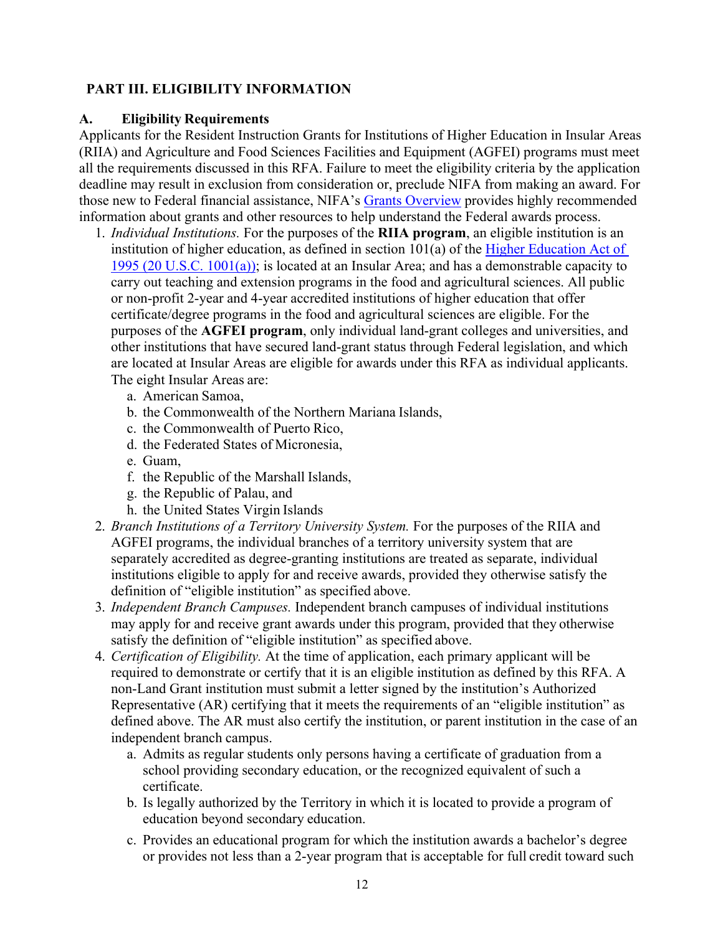## <span id="page-11-0"></span>**PART III. ELIGIBILITY INFORMATION**

#### <span id="page-11-1"></span>**A. Eligibility Requirements**

Applicants for the Resident Instruction Grants for Institutions of Higher Education in Insular Areas (RIIA) and Agriculture and Food Sciences Facilities and Equipment (AGFEI) programs must meet all the requirements discussed in this RFA. Failure to meet the eligibility criteria by the application deadline may result in exclusion from consideration or, preclude NIFA from making an award. For those new to Federal financial assistance, NIFA's [Grants Overview](https://nifa.usda.gov/resource/grants-overview) provides highly recommended information about grants and other resources to help understand the Federal awards process.

- 1. *Individual Institutions.* For the purposes of the **RIIA program**, an eligible institution is an institution [of](https://uscode.house.gov/view.xhtml?req=(title:20%20section:1001%20edition:prelim)%20OR%20(granuleid:USC-prelim-title20-section1001)&f=treesort&edition=prelim&num=0&jumpTo=true) higher education, as defined in section  $101(a)$  of the [Higher Education](http://uscode.house.gov/view.xhtml?req=(title%3A20%20section%3A1001%20edition%3Aprelim)%20OR%20(granuleid%3AUSC-prelim-title20-section1001)&f=treesort&edition=prelim&num=0&jumpTo=true) Act of [1995 \(20 U.S.C. 1001\(a\)\);](https://uscode.house.gov/view.xhtml?req=(title:20%20section:1001%20edition:prelim)%20OR%20(granuleid:USC-prelim-title20-section1001)&f=treesort&edition=prelim&num=0&jumpTo=true) is located at an Insular Area; and has a demonstrable capacity to carry out teaching and extension programs in the food and agricultural sciences. All public or non-profit 2-year and 4-year accredited institutions of higher education that offer certificate/degree programs in the food and agricultural sciences are eligible. For the purposes of the **AGFEI program**, only individual land-grant colleges and universities, and other institutions that have secured land-grant status through Federal legislation, and which are located at Insular Areas are eligible for awards under this RFA as individual applicants. The eight Insular Areas are:
	- a. American Samoa,
	- b. the Commonwealth of the Northern Mariana Islands,
	- c. the Commonwealth of Puerto Rico,
	- d. the Federated States of Micronesia,
	- e. Guam,
	- f. the Republic of the Marshall Islands,
	- g. the Republic of Palau, and
	- h. the United States Virgin Islands
- 2. *Branch Institutions of a Territory University System.* For the purposes of the RIIA and AGFEI programs, the individual branches of a territory university system that are separately accredited as degree-granting institutions are treated as separate, individual institutions eligible to apply for and receive awards, provided they otherwise satisfy the definition of "eligible institution" as specified above.
- 3. *Independent Branch Campuses.* Independent branch campuses of individual institutions may apply for and receive grant awards under this program, provided that they otherwise satisfy the definition of "eligible institution" as specified above.
- 4. *Certification of Eligibility.* At the time of application, each primary applicant will be required to demonstrate or certify that it is an eligible institution as defined by this RFA. A non-Land Grant institution must submit a letter signed by the institution's Authorized Representative (AR) certifying that it meets the requirements of an "eligible institution" as defined above. The AR must also certify the institution, or parent institution in the case of an independent branch campus.
	- a. Admits as regular students only persons having a certificate of graduation from a school providing secondary education, or the recognized equivalent of such a certificate.
	- b. Is legally authorized by the Territory in which it is located to provide a program of education beyond secondary education.
	- c. Provides an educational program for which the institution awards a bachelor's degree or provides not less than a 2-year program that is acceptable for full credit toward such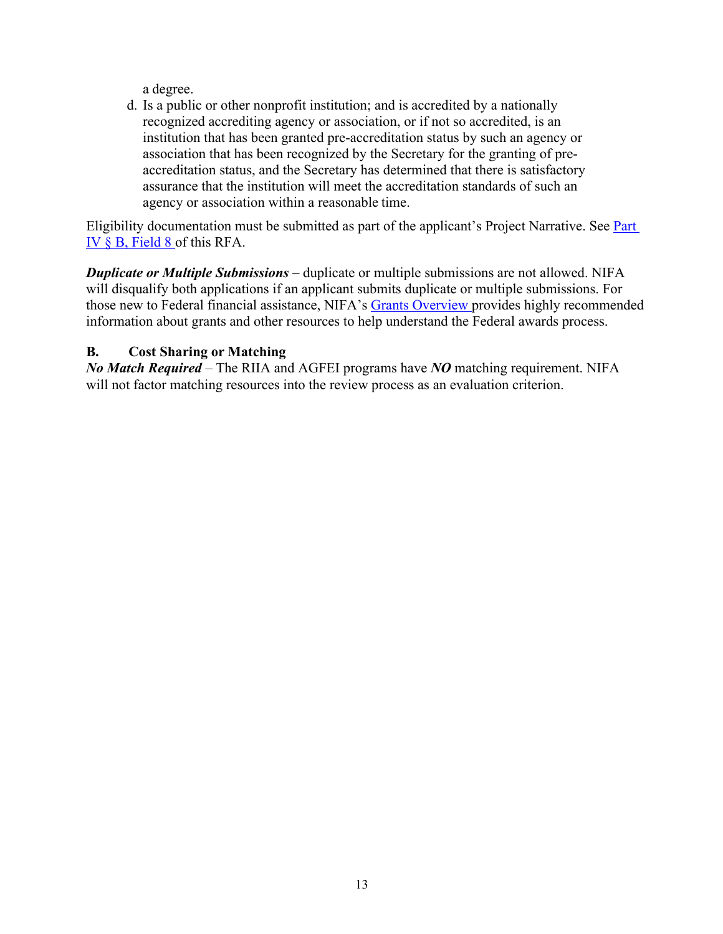a degree.

d. Is a public or other nonprofit institution; and is accredited by a nationally recognized accrediting agency or association, or if not so accredited, is an institution that has been granted pre-accreditation status by such an agency or association that has been recognized by the Secretary for the granting of preaccreditation status, and the Secretary has determined that there is satisfactory assurance that the institution will meet the accreditation standards of such an agency or association within a reasonable time.

Eligibility documentation must be submitted as part of the applicant's Project Narrative. See **Part** IV § B, Field 8 of this RFA.

*Duplicate or Multiple Submissions* – duplicate or multiple submissions are not allowed. NIFA will disqualify both applications if an applicant submits duplicate or multiple submissions. For those new to Federal financial assistance, NIFA's [Grants Overview p](https://nifa.usda.gov/resource/grants-overview)rovides highly recommended information about grants and other resources to help understand the Federal awards process.

## <span id="page-12-0"></span>**B. Cost Sharing or Matching**

*No Match Required* – The RIIA and AGFEI programs have *NO* matching requirement. NIFA will not factor matching resources into the review process as an evaluation criterion.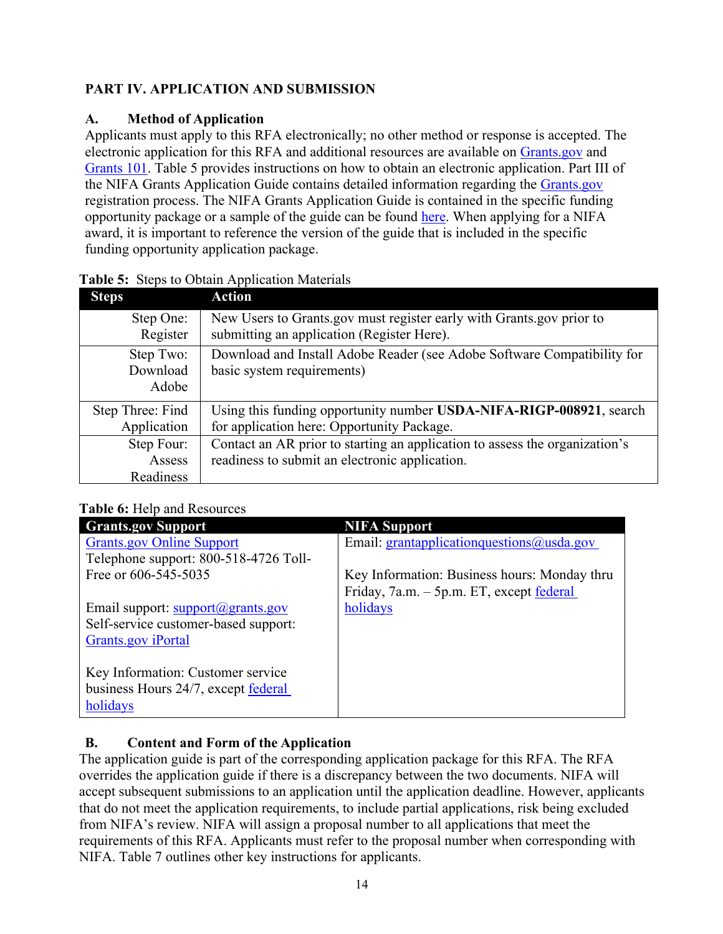## <span id="page-13-0"></span>**PART IV. APPLICATION AND SUBMISSION**

## <span id="page-13-1"></span>**A. Method of Application**

Applicants must apply to this RFA electronically; no other method or response is accepted. The electronic application for this RFA and additional resources are available on [Grants.gov](https://www.grants.gov/) and [Grants 101.](https://www.grants.gov/web/grants/learn-grants/grants-101/pre-award-phase.html/) Table 5 provides instructions on how to obtain an electronic application. Part III of the NIFA Grants Application Guide contains detailed information regarding the [Grants.gov](https://www.grants.gov/) registration process. The NIFA Grants Application Guide is contained in the specific funding opportunity package or a sample of the guide can be found [here.](https://nifa.usda.gov/resource/nifa-grantsgov-application-guide) When applying for a NIFA award, it is important to reference the version of the guide that is included in the specific funding opportunity application package.

| <b>Steps</b>     | <b>Action</b>                                                               |
|------------------|-----------------------------------------------------------------------------|
| Step One:        | New Users to Grants.gov must register early with Grants.gov prior to        |
| Register         | submitting an application (Register Here).                                  |
| Step Two:        | Download and Install Adobe Reader (see Adobe Software Compatibility for     |
| Download         | basic system requirements)                                                  |
| Adobe            |                                                                             |
| Step Three: Find | Using this funding opportunity number USDA-NIFA-RIGP-008921, search         |
| Application      | for application here: Opportunity Package.                                  |
| Step Four:       | Contact an AR prior to starting an application to assess the organization's |
| Assess           | readiness to submit an electronic application.                              |
| Readiness        |                                                                             |

## <span id="page-13-3"></span>**Table 5:** Steps to Obtain Application Materials

## <span id="page-13-4"></span>**Table 6: Help and Resources**

| <b>Grants.gov Support</b>                        | <b>NIFA Support</b>                                 |
|--------------------------------------------------|-----------------------------------------------------|
| <b>Grants.gov Online Support</b>                 | Email: grantapplication questions $\omega$ usda.gov |
| Telephone support: 800-518-4726 Toll-            |                                                     |
| Free or 606-545-5035                             | Key Information: Business hours: Monday thru        |
|                                                  | Friday, 7a.m. - 5p.m. ET, except federal            |
| Email support: $support(\mathcal{Q})$ grants.gov | holidays                                            |
| Self-service customer-based support:             |                                                     |
| <b>Grants.gov</b> iPortal                        |                                                     |
|                                                  |                                                     |
| Key Information: Customer service                |                                                     |
| business Hours 24/7, except federal              |                                                     |
| holidays                                         |                                                     |

## <span id="page-13-2"></span>**B. Content and Form of the Application**

The application guide is part of the corresponding application package for this RFA. The RFA overrides the application guide if there is a discrepancy between the two documents. NIFA will accept subsequent submissions to an application until the application deadline. However, applicants that do not meet the application requirements, to include partial applications, risk being excluded from NIFA's review. NIFA will assign a proposal number to all applications that meet the requirements of this RFA. Applicants must refer to the proposal number when corresponding with NIFA. Table 7 outlines other key instructions for applicants.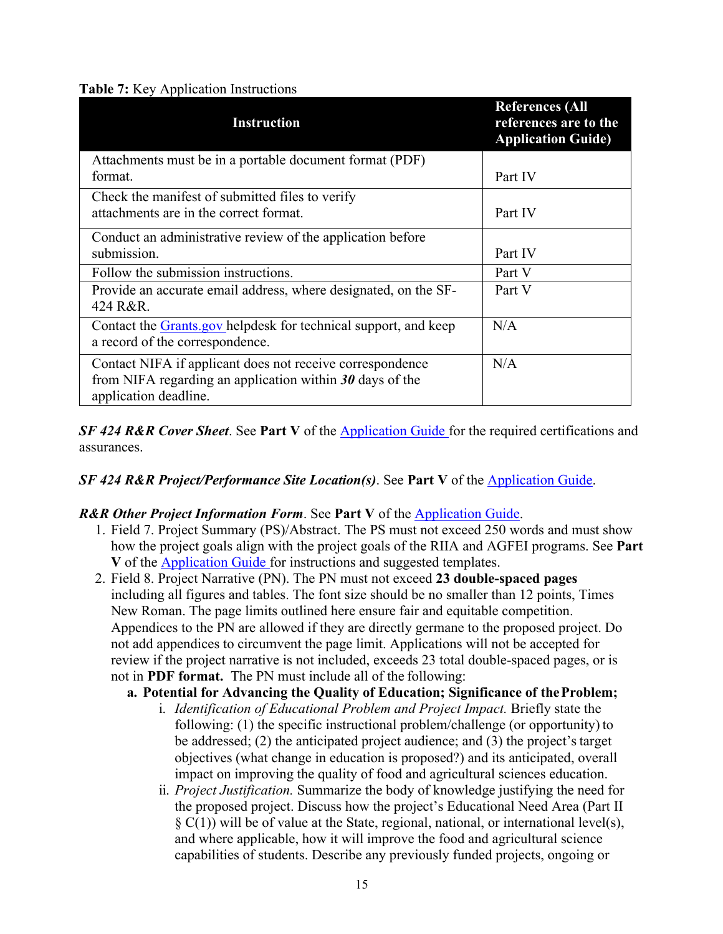## <span id="page-14-0"></span>**Table 7:** Key Application Instructions

| <b>Instruction</b>                                                                                                                               | <b>References (All</b><br>references are to the<br><b>Application Guide)</b> |
|--------------------------------------------------------------------------------------------------------------------------------------------------|------------------------------------------------------------------------------|
| Attachments must be in a portable document format (PDF)                                                                                          |                                                                              |
| format.                                                                                                                                          | Part IV                                                                      |
| Check the manifest of submitted files to verify                                                                                                  |                                                                              |
| attachments are in the correct format.                                                                                                           | Part IV                                                                      |
| Conduct an administrative review of the application before                                                                                       |                                                                              |
| submission.                                                                                                                                      | Part IV                                                                      |
| Follow the submission instructions.                                                                                                              | Part V                                                                       |
| Provide an accurate email address, where designated, on the SF-<br>424 R&R.                                                                      | Part V                                                                       |
| Contact the Grants.gov helpdesk for technical support, and keep<br>a record of the correspondence.                                               | N/A                                                                          |
| Contact NIFA if applicant does not receive correspondence<br>from NIFA regarding an application within $30$ days of the<br>application deadline. | N/A                                                                          |

*SF 424 R&R Cover Sheet*. See **Part V** of the [Application Guide](https://apply07.grants.gov/apply/opportunities/instructions/PKG00249520-instructions.pdf) for the required certifications and assurances.

## *SF 424 R&R Project/Performance Site Location(s)*. See **Part V** of the [Application Guide.](https://apply07.grants.gov/apply/opportunities/instructions/PKG00249520-instructions.pdf)

## *R&R Other Project Information Form*. See **Part V** of the [Application Guide.](https://apply07.grants.gov/apply/opportunities/instructions/PKG00249520-instructions.pdf)

- 1. Field 7. Project Summary (PS)/Abstract. The PS must not exceed 250 words and must show how the project goals align with the project goals of the RIIA and AGFEI programs. See **Part V** of the [Application Guide f](https://apply07.grants.gov/apply/opportunities/instructions/PKG00249520-instructions.pdf)or instructions and suggested templates.
- 2. Field 8. Project Narrative (PN). The PN must not exceed **23 double-spaced pages** including all figures and tables. The font size should be no smaller than 12 points, Times New Roman. The page limits outlined here ensure fair and equitable competition. Appendices to the PN are allowed if they are directly germane to the proposed project. Do not add appendices to circumvent the page limit. Applications will not be accepted for review if the project narrative is not included, exceeds 23 total double-spaced pages, or is not in **PDF format.** The PN must include all of the following:
	- **a. Potential for Advancing the Quality of Education; Significance of theProblem;**
		- i. *Identification of Educational Problem and Project Impact.* Briefly state the following: (1) the specific instructional problem/challenge (or opportunity) to be addressed; (2) the anticipated project audience; and (3) the project's target objectives (what change in education is proposed?) and its anticipated, overall impact on improving the quality of food and agricultural sciences education.
		- ii. *Project Justification.* Summarize the body of knowledge justifying the need for the proposed project. Discuss how the project's Educational Need Area (Part II  $\S (C(1))$  will be of value at the State, regional, national, or international level(s), and where applicable, how it will improve the food and agricultural science capabilities of students. Describe any previously funded projects, ongoing or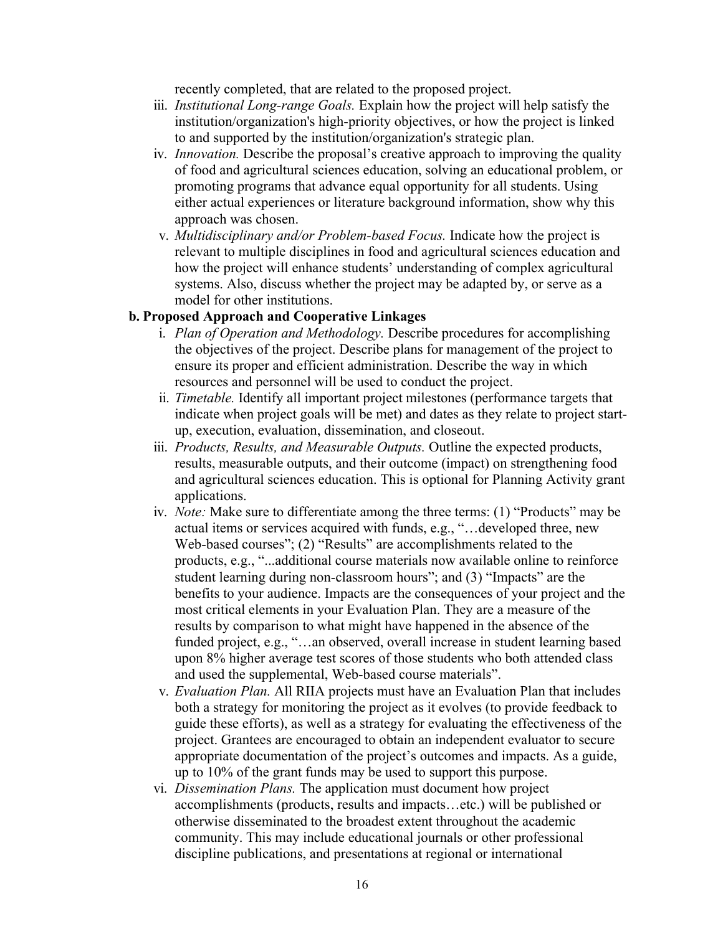recently completed, that are related to the proposed project.

- iii. *Institutional Long-range Goals.* Explain how the project will help satisfy the institution/organization's high-priority objectives, or how the project is linked to and supported by the institution/organization's strategic plan.
- iv. *Innovation.* Describe the proposal's creative approach to improving the quality of food and agricultural sciences education, solving an educational problem, or promoting programs that advance equal opportunity for all students. Using either actual experiences or literature background information, show why this approach was chosen.
- v. *Multidisciplinary and/or Problem-based Focus.* Indicate how the project is relevant to multiple disciplines in food and agricultural sciences education and how the project will enhance students' understanding of complex agricultural systems. Also, discuss whether the project may be adapted by, or serve as a model for other institutions.

#### **b. Proposed Approach and Cooperative Linkages**

- i. *Plan of Operation and Methodology.* Describe procedures for accomplishing the objectives of the project. Describe plans for management of the project to ensure its proper and efficient administration. Describe the way in which resources and personnel will be used to conduct the project.
- ii. *Timetable.* Identify all important project milestones (performance targets that indicate when project goals will be met) and dates as they relate to project startup, execution, evaluation, dissemination, and closeout.
- iii. *Products, Results, and Measurable Outputs.* Outline the expected products, results, measurable outputs, and their outcome (impact) on strengthening food and agricultural sciences education. This is optional for Planning Activity grant applications.
- iv. *Note:* Make sure to differentiate among the three terms: (1) "Products" may be actual items or services acquired with funds, e.g., "…developed three, new Web-based courses"; (2) "Results" are accomplishments related to the products, e.g., "...additional course materials now available online to reinforce student learning during non-classroom hours"; and (3) "Impacts" are the benefits to your audience. Impacts are the consequences of your project and the most critical elements in your Evaluation Plan. They are a measure of the results by comparison to what might have happened in the absence of the funded project, e.g., "…an observed, overall increase in student learning based upon 8% higher average test scores of those students who both attended class and used the supplemental, Web-based course materials".
- v. *Evaluation Plan.* All RIIA projects must have an Evaluation Plan that includes both a strategy for monitoring the project as it evolves (to provide feedback to guide these efforts), as well as a strategy for evaluating the effectiveness of the project. Grantees are encouraged to obtain an independent evaluator to secure appropriate documentation of the project's outcomes and impacts. As a guide, up to 10% of the grant funds may be used to support this purpose.
- vi. *Dissemination Plans.* The application must document how project accomplishments (products, results and impacts…etc.) will be published or otherwise disseminated to the broadest extent throughout the academic community. This may include educational journals or other professional discipline publications, and presentations at regional or international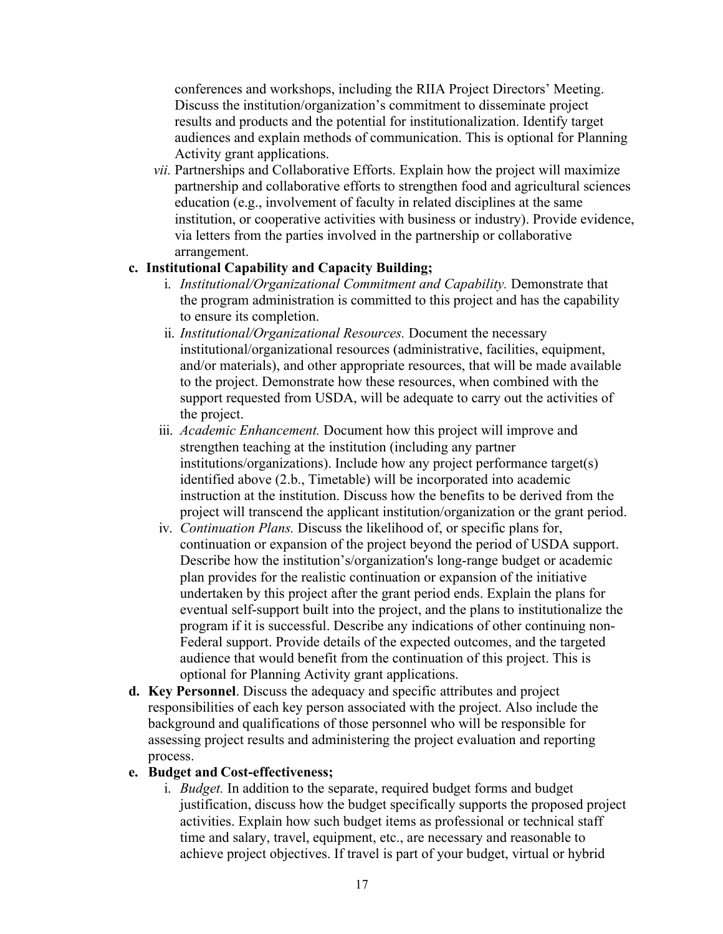conferences and workshops, including the RIIA Project Directors' Meeting. Discuss the institution/organization's commitment to disseminate project results and products and the potential for institutionalization. Identify target audiences and explain methods of communication. This is optional for Planning Activity grant applications.

*vii.* Partnerships and Collaborative Efforts. Explain how the project will maximize partnership and collaborative efforts to strengthen food and agricultural sciences education (e.g., involvement of faculty in related disciplines at the same institution, or cooperative activities with business or industry). Provide evidence, via letters from the parties involved in the partnership or collaborative arrangement.

#### **c. Institutional Capability and Capacity Building;**

- i. *Institutional/Organizational Commitment and Capability.* Demonstrate that the program administration is committed to this project and has the capability to ensure its completion.
- ii. *Institutional/Organizational Resources.* Document the necessary institutional/organizational resources (administrative, facilities, equipment, and/or materials), and other appropriate resources, that will be made available to the project. Demonstrate how these resources, when combined with the support requested from USDA, will be adequate to carry out the activities of the project.
- iii. *Academic Enhancement.* Document how this project will improve and strengthen teaching at the institution (including any partner institutions/organizations). Include how any project performance target(s) identified above (2.b., Timetable) will be incorporated into academic instruction at the institution. Discuss how the benefits to be derived from the project will transcend the applicant institution/organization or the grant period.
- iv. *Continuation Plans.* Discuss the likelihood of, or specific plans for, continuation or expansion of the project beyond the period of USDA support. Describe how the institution's/organization's long-range budget or academic plan provides for the realistic continuation or expansion of the initiative undertaken by this project after the grant period ends. Explain the plans for eventual self-support built into the project, and the plans to institutionalize the program if it is successful. Describe any indications of other continuing non-Federal support. Provide details of the expected outcomes, and the targeted audience that would benefit from the continuation of this project. This is optional for Planning Activity grant applications.
- **d. Key Personnel**. Discuss the adequacy and specific attributes and project responsibilities of each key person associated with the project. Also include the background and qualifications of those personnel who will be responsible for assessing project results and administering the project evaluation and reporting process.

#### **e. Budget and Cost-effectiveness;**

i. *Budget.* In addition to the separate, required budget forms and budget justification, discuss how the budget specifically supports the proposed project activities. Explain how such budget items as professional or technical staff time and salary, travel, equipment, etc., are necessary and reasonable to achieve project objectives. If travel is part of your budget, virtual or hybrid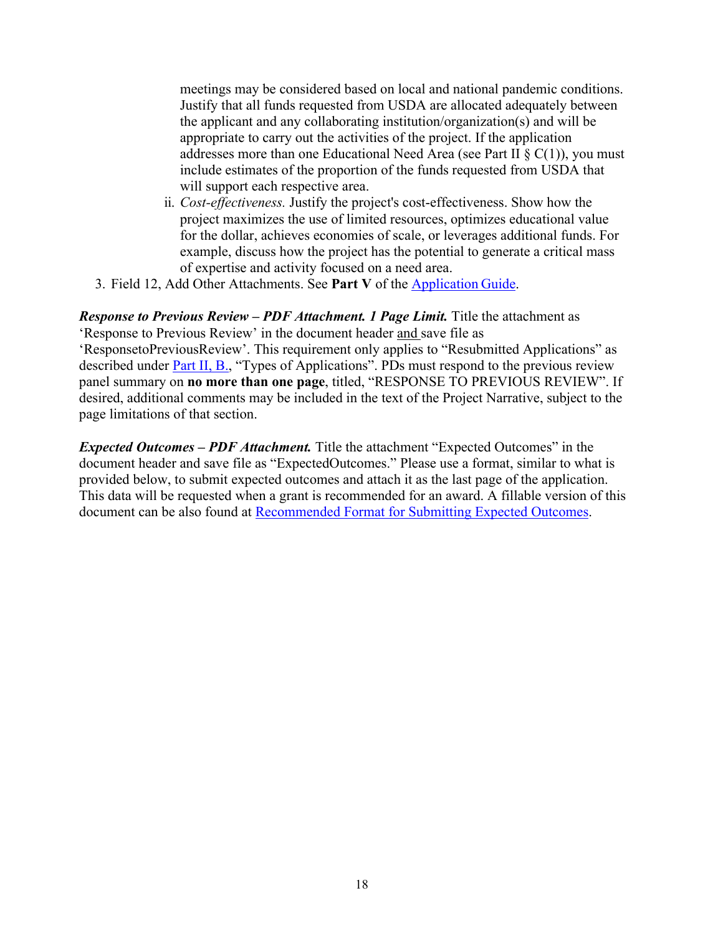meetings may be considered based on local and national pandemic conditions. Justify that all funds requested from USDA are allocated adequately between the applicant and any collaborating institution/organization(s) and will be appropriate to carry out the activities of the project. If the application addresses more than one Educational Need Area (see Part II  $\S$  C(1)), you must include estimates of the proportion of the funds requested from USDA that will support each respective area.

- ii. *Cost-effectiveness.* Justify the project's cost-effectiveness. Show how the project maximizes the use of limited resources, optimizes educational value for the dollar, achieves economies of scale, or leverages additional funds. For example, discuss how the project has the potential to generate a critical mass of expertise and activity focused on a need area.
- 3. Field 12, Add Other Attachments. See **Part V** of the [Application](https://apply07.grants.gov/apply/opportunities/instructions/PKG00249520-instructions.pdf) Guide.

*Response to Previous Review – PDF Attachment. 1 Page Limit.* Title the attachment as 'Response to Previous Review' in the document header and save file as 'ResponsetoPreviousReview'. This requirement only applies to "Resubmitted Applications" as described under Part II, B., "Types of Applications". PDs must respond to the previous review panel summary on **no more than one page**, titled, "RESPONSE TO PREVIOUS REVIEW". If desired, additional comments may be included in the text of the Project Narrative, subject to the page limitations of that section.

*Expected Outcomes – PDF Attachment.* Title the attachment "Expected Outcomes" in the document header and save file as "ExpectedOutcomes." Please use a format, similar to what is provided below, to submit expected outcomes and attach it as the last page of the application. This data will be requested when a grant is recommended for an award. A fillable version of this document can be also found at [Recommended Format for Submitting Expected Outcomes.](https://nifa.usda.gov/resource/recommended-format-submitting-expected-impacts)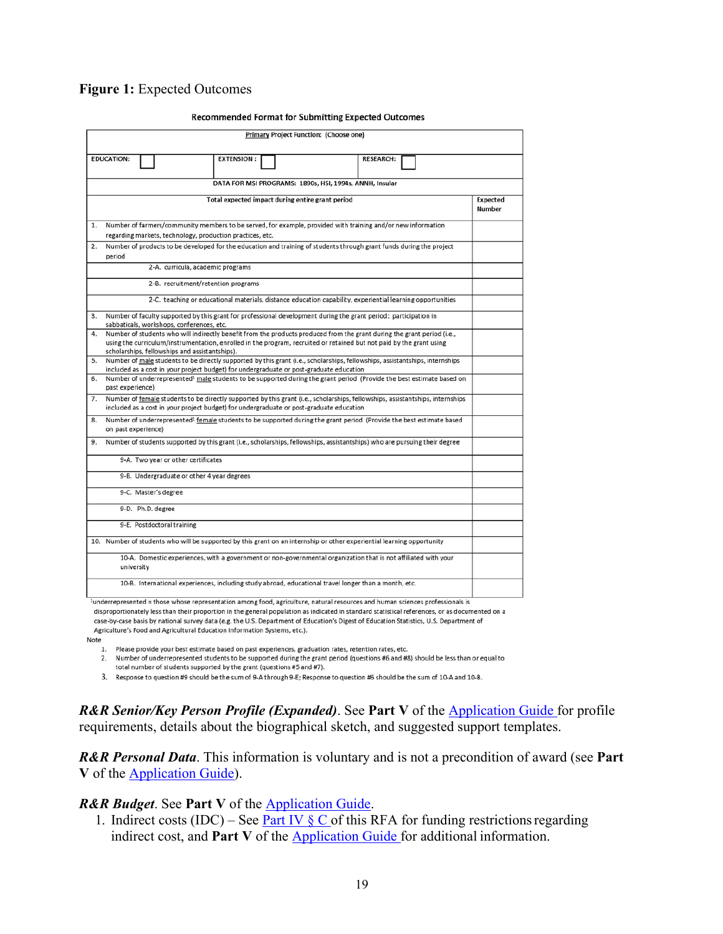#### <span id="page-18-0"></span>**Figure 1:** Expected Outcomes

|    |                                                                                                                                                                                                                                                                                                   |  |  |                                                                                                                 |  |                                                         |                   |  | commended roman for capmening expected cattoine |  |                  |  |  |  |                    |
|----|---------------------------------------------------------------------------------------------------------------------------------------------------------------------------------------------------------------------------------------------------------------------------------------------------|--|--|-----------------------------------------------------------------------------------------------------------------|--|---------------------------------------------------------|-------------------|--|-------------------------------------------------|--|------------------|--|--|--|--------------------|
|    |                                                                                                                                                                                                                                                                                                   |  |  |                                                                                                                 |  |                                                         |                   |  | Primary Project Function: (Choose one)          |  |                  |  |  |  |                    |
|    |                                                                                                                                                                                                                                                                                                   |  |  |                                                                                                                 |  |                                                         |                   |  |                                                 |  |                  |  |  |  |                    |
|    | <b>EDUCATION:</b>                                                                                                                                                                                                                                                                                 |  |  |                                                                                                                 |  |                                                         | <b>EXTENSION:</b> |  |                                                 |  | <b>RESEARCH:</b> |  |  |  |                    |
|    |                                                                                                                                                                                                                                                                                                   |  |  |                                                                                                                 |  | DATA FOR MSI PROGRAMS: 1890s, HSI, 1994s, ANNH, Insular |                   |  |                                                 |  |                  |  |  |  |                    |
|    |                                                                                                                                                                                                                                                                                                   |  |  |                                                                                                                 |  | Total expected impact during entire grant period        |                   |  |                                                 |  |                  |  |  |  | Expected<br>Number |
| 1. | Number of farmers/community members to be served, for example, provided with training and/or new information                                                                                                                                                                                      |  |  |                                                                                                                 |  |                                                         |                   |  |                                                 |  |                  |  |  |  |                    |
|    | regarding markets, technology, production practices, etc.                                                                                                                                                                                                                                         |  |  |                                                                                                                 |  |                                                         |                   |  |                                                 |  |                  |  |  |  |                    |
| 2. | Number of products to be developed for the education and training of students through grant funds during the project<br>period                                                                                                                                                                    |  |  |                                                                                                                 |  |                                                         |                   |  |                                                 |  |                  |  |  |  |                    |
|    |                                                                                                                                                                                                                                                                                                   |  |  | 2-A. curricula, academic programs                                                                               |  |                                                         |                   |  |                                                 |  |                  |  |  |  |                    |
|    |                                                                                                                                                                                                                                                                                                   |  |  | 2-B. recruitment/retention programs                                                                             |  |                                                         |                   |  |                                                 |  |                  |  |  |  |                    |
|    |                                                                                                                                                                                                                                                                                                   |  |  | 2-C. teaching or educational materials, distance education capability, experiential learning opportunities      |  |                                                         |                   |  |                                                 |  |                  |  |  |  |                    |
| 3. | Number of faculty supported by this grant for professional development during the grant period: participation in<br>sabbaticals, workshops, conferences, etc.                                                                                                                                     |  |  |                                                                                                                 |  |                                                         |                   |  |                                                 |  |                  |  |  |  |                    |
| 4. | Number of students who will indirectly benefit from the products produced from the grant during the grant period (i.e.,<br>using the curriculum/instrumentation, enrolled in the program, recruited or retained but not paid by the grant using<br>scholarships, fellowships and assistantships). |  |  |                                                                                                                 |  |                                                         |                   |  |                                                 |  |                  |  |  |  |                    |
| 5. | Number of male students to be directly supported by this grant (i.e., scholarships, fellowships, assistantships, internships<br>included as a cost in your project budget) for undergraduate or post-graduate education                                                                           |  |  |                                                                                                                 |  |                                                         |                   |  |                                                 |  |                  |  |  |  |                    |
| 6. | Number of underrepresented <sup>1</sup> male students to be supported during the grant period (Provide the best estimate based on<br>past experience)                                                                                                                                             |  |  |                                                                                                                 |  |                                                         |                   |  |                                                 |  |                  |  |  |  |                    |
| 7. | Number of female students to be directly supported by this grant (i.e., scholarships, fellowships, assistantships, internships<br>included as a cost in your project budget) for undergraduate or post-graduate education                                                                         |  |  |                                                                                                                 |  |                                                         |                   |  |                                                 |  |                  |  |  |  |                    |
| 8. | Number of underrepresented <sup>1</sup> female students to be supported during the grant period (Provide the best estimate based<br>on past experience)                                                                                                                                           |  |  |                                                                                                                 |  |                                                         |                   |  |                                                 |  |                  |  |  |  |                    |
| 9. | Number of students supported by this grant (i.e., scholarships, fellowships, assistantships) who are pursuing their degree                                                                                                                                                                        |  |  |                                                                                                                 |  |                                                         |                   |  |                                                 |  |                  |  |  |  |                    |
|    |                                                                                                                                                                                                                                                                                                   |  |  | 9-A. Two year or other certificates                                                                             |  |                                                         |                   |  |                                                 |  |                  |  |  |  |                    |
|    |                                                                                                                                                                                                                                                                                                   |  |  | 9-B. Undergraduate or other 4 year degrees                                                                      |  |                                                         |                   |  |                                                 |  |                  |  |  |  |                    |
|    |                                                                                                                                                                                                                                                                                                   |  |  | 9-C. Master's degree                                                                                            |  |                                                         |                   |  |                                                 |  |                  |  |  |  |                    |
|    |                                                                                                                                                                                                                                                                                                   |  |  | 9-D. Ph.D. degree                                                                                               |  |                                                         |                   |  |                                                 |  |                  |  |  |  |                    |
|    |                                                                                                                                                                                                                                                                                                   |  |  | 9-E. Postdoctoral training                                                                                      |  |                                                         |                   |  |                                                 |  |                  |  |  |  |                    |
|    | 10. Number of students who will be supported by this grant on an internship or other experiential learning opportunity                                                                                                                                                                            |  |  |                                                                                                                 |  |                                                         |                   |  |                                                 |  |                  |  |  |  |                    |
|    | university                                                                                                                                                                                                                                                                                        |  |  | 10-A. Domestic experiences, with a government or non-governmental organization that is not affiliated with your |  |                                                         |                   |  |                                                 |  |                  |  |  |  |                    |
|    |                                                                                                                                                                                                                                                                                                   |  |  | 10-B. International experiences, including study abroad, educational travel longer than a month, etc.           |  |                                                         |                   |  |                                                 |  |                  |  |  |  |                    |
|    | iunderrepresented = those whose representation among food, agriculture, patural resources and human sciences professionals is                                                                                                                                                                     |  |  |                                                                                                                 |  |                                                         |                   |  |                                                 |  |                  |  |  |  |                    |

#### **Recommended Format for Submitting Expected Outcomes**

disproportionately less than their proportion in the general population as indicated in standard statistical references, or as documented on a case-by-case basis by national survey data (e.g. the U.S. Department of Education's Digest of Education Statistics, U.S. Department of Agriculture's Food and Agricultural Education Information Systems, etc.).

Note

1. Please provide your best estimate based on past experiences, graduation rates, retention rates, etc.

2. Number of underrepresented students to be supported during the grant period (questions #6 and #8) should be less than or equal to

total number of students supported by the grant (questions #5 and #7).

3. Response to question #9 should be the sum of 9-A through 9-E; Response to question #6 should be the sum of 10-A and 10-B.

*R&R Senior/Key Person Profile (Expanded)*. See **Part V** of the [Application Guide f](https://apply07.grants.gov/apply/opportunities/instructions/PKG00249520-instructions.pdf)or profile requirements, details about the biographical sketch, and suggested support templates.

*R&R Personal Data*. This information is voluntary and is not a precondition of award (see **Part V** of the [Application Guide\)](https://apply07.grants.gov/apply/opportunities/instructions/PKG00249520-instructions.pdf).

*R&R Budget*. See **Part V** of the [Application Guide.](https://apply07.grants.gov/apply/opportunities/instructions/PKG00249520-instructions.pdf)

1. Indirect costs (IDC) – See Part IV  $\S$  C of this RFA for funding restrictions regarding indirect cost, and **Part V** of the [Application Guide f](https://apply07.grants.gov/apply/opportunities/instructions/PKG00249520-instructions.pdf)or additional information.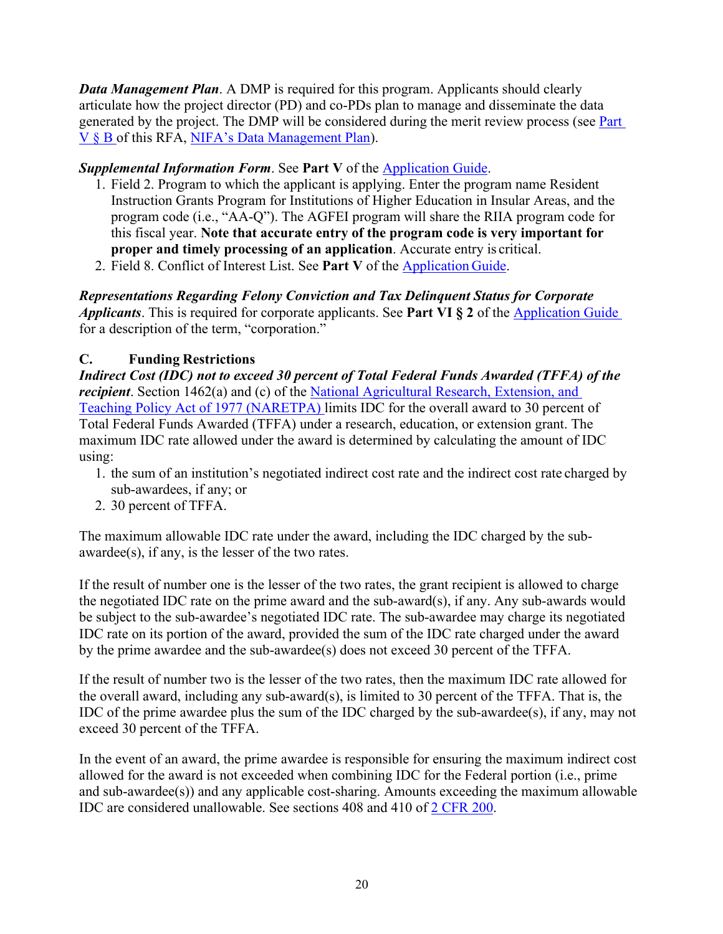*Data Management Plan*. A DMP is required for this program. Applicants should clearly articulate how the project director (PD) and co-PDs plan to manage and disseminate the data generated by the project. The DMP will be considered during the merit review process (see Part V § B of this RFA, [NIFA's Data Management Plan\)](https://nifa.usda.gov/resource/data-management-plan-nifa-funded-research-projects).

## *Supplemental Information Form*. See **Part V** of the [Application Guide.](https://apply07.grants.gov/apply/opportunities/instructions/PKG00249520-instructions.pdf)

- 1. Field 2. Program to which the applicant is applying. Enter the program name Resident Instruction Grants Program for Institutions of Higher Education in Insular Areas, and the program code (i.e., "AA-Q"). The AGFEI program will share the RIIA program code for this fiscal year. **Note that accurate entry of the program code is very important for proper and timely processing of an application**. Accurate entry is critical.
- 2. Field 8. Conflict of Interest List. See **Part V** of the [Application](https://apply07.grants.gov/apply/opportunities/instructions/PKG00249520-instructions.pdf) Guide.

*Representations Regarding Felony Conviction and Tax Delinquent Status for Corporate Applicants*. This is required for corporate applicants. See **Part VI § 2** of the [Application Guide](https://apply07.grants.gov/apply/opportunities/instructions/PKG00249520-instructions.pdf) for a description of the term, "corporation."

## <span id="page-19-0"></span>**C. Funding Restrictions**

*Indirect Cost (IDC) not to exceed 30 percent of Total Federal Funds Awarded (TFFA) of the recipient*. Section 1462(a) and (c) of the [National Agricultural Research, Extension, and](http://uscode.house.gov/view.xhtml?req=(title%3A20%20section%3A1001%20edition%3Aprelim)%20OR%20(granuleid%3AUSC-prelim-title20-section1001)&f=treesort&edition=prelim&num=0&jumpTo=true) [Teaching Policy Act of 1977 \(NARETPA\) l](https://nifa.usda.gov/sites/default/files/resource/nar77.pdf)imits IDC for the overall award to 30 percent of Total Federal Funds Awarded (TFFA) under a research, education, or extension grant. The maximum IDC rate allowed under the award is determined by calculating the amount of IDC using:

- 1. the sum of an institution's negotiated indirect cost rate and the indirect cost rate charged by sub-awardees, if any; or
- 2. 30 percent of TFFA.

The maximum allowable IDC rate under the award, including the IDC charged by the subawardee(s), if any, is the lesser of the two rates.

If the result of number one is the lesser of the two rates, the grant recipient is allowed to charge the negotiated IDC rate on the prime award and the sub-award(s), if any. Any sub-awards would be subject to the sub-awardee's negotiated IDC rate. The sub-awardee may charge its negotiated IDC rate on its portion of the award, provided the sum of the IDC rate charged under the award by the prime awardee and the sub-awardee(s) does not exceed 30 percent of the TFFA.

If the result of number two is the lesser of the two rates, then the maximum IDC rate allowed for the overall award, including any sub-award(s), is limited to 30 percent of the TFFA. That is, the IDC of the prime awardee plus the sum of the IDC charged by the sub-awardee(s), if any, may not exceed 30 percent of the TFFA.

In the event of an award, the prime awardee is responsible for ensuring the maximum indirect cost allowed for the award is not exceeded when combining IDC for the Federal portion (i.e., prime and sub-awardee(s)) and any applicable cost-sharing. Amounts exceeding the maximum allowable IDC are considered unallowable. See sections 408 and 410 of [2 CFR 200.](https://www.ecfr.gov/current/title-2/subtitle-A/chapter-II/part-200)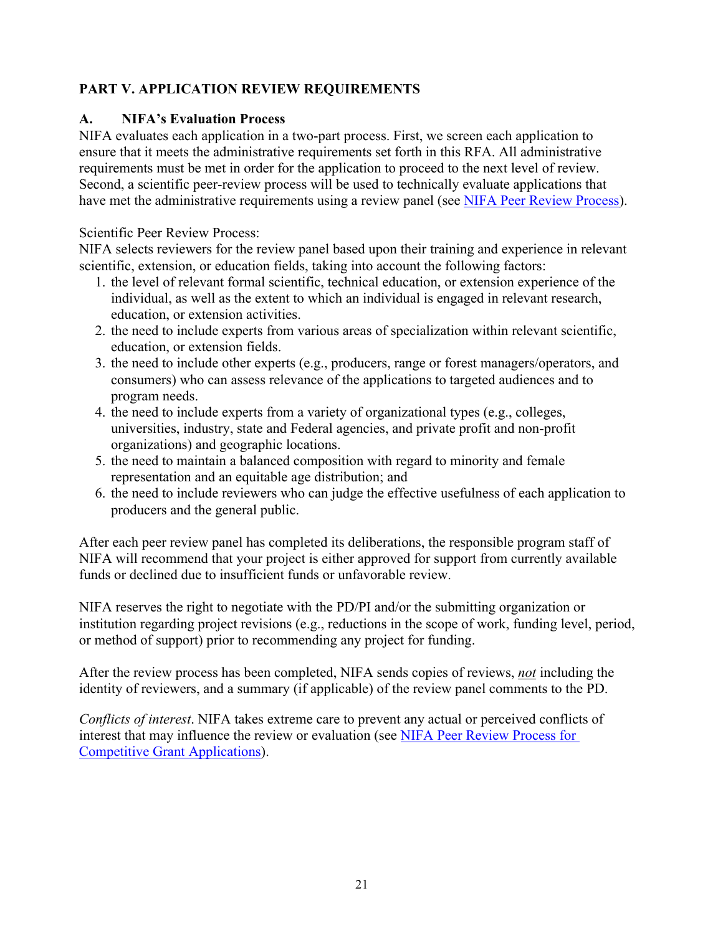## <span id="page-20-0"></span>**PART V. APPLICATION REVIEW REQUIREMENTS**

## <span id="page-20-1"></span>**A. NIFA's Evaluation Process**

NIFA evaluates each application in a two-part process. First, we screen each application to ensure that it meets the administrative requirements set forth in this RFA. All administrative requirements must be met in order for the application to proceed to the next level of review. Second, a scientific peer-review process will be used to technically evaluate applications that have met the administrative requirements using a review panel (see [NIFA Peer Review Process\)](https://nifa.usda.gov/sites/default/files/resource/NIFA-Peer-Review-Process-for-Competitive-Grant-Applications_0.pdf).

## Scientific Peer Review Process:

NIFA selects reviewers for the review panel based upon their training and experience in relevant scientific, extension, or education fields, taking into account the following factors:

- 1. the level of relevant formal scientific, technical education, or extension experience of the individual, as well as the extent to which an individual is engaged in relevant research, education, or extension activities.
- 2. the need to include experts from various areas of specialization within relevant scientific, education, or extension fields.
- 3. the need to include other experts (e.g., producers, range or forest managers/operators, and consumers) who can assess relevance of the applications to targeted audiences and to program needs.
- 4. the need to include experts from a variety of organizational types (e.g., colleges, universities, industry, state and Federal agencies, and private profit and non-profit organizations) and geographic locations.
- 5. the need to maintain a balanced composition with regard to minority and female representation and an equitable age distribution; and
- 6. the need to include reviewers who can judge the effective usefulness of each application to producers and the general public.

After each peer review panel has completed its deliberations, the responsible program staff of NIFA will recommend that your project is either approved for support from currently available funds or declined due to insufficient funds or unfavorable review.

NIFA reserves the right to negotiate with the PD/PI and/or the submitting organization or institution regarding project revisions (e.g., reductions in the scope of work, funding level, period, or method of support) prior to recommending any project for funding.

After the review process has been completed, NIFA sends copies of reviews, *not* including the identity of reviewers, and a summary (if applicable) of the review panel comments to the PD.

<span id="page-20-2"></span>*Conflicts of interest*. NIFA takes extreme care to prevent any actual or perceived conflicts of interest that may influence the review or evaluation (see [NIFA Peer Review Process for](https://nifa.usda.gov/resource/nifa-peer-review-process-competitive-grant-applications)  [Competitive Grant Applications\)](https://nifa.usda.gov/resource/nifa-peer-review-process-competitive-grant-applications).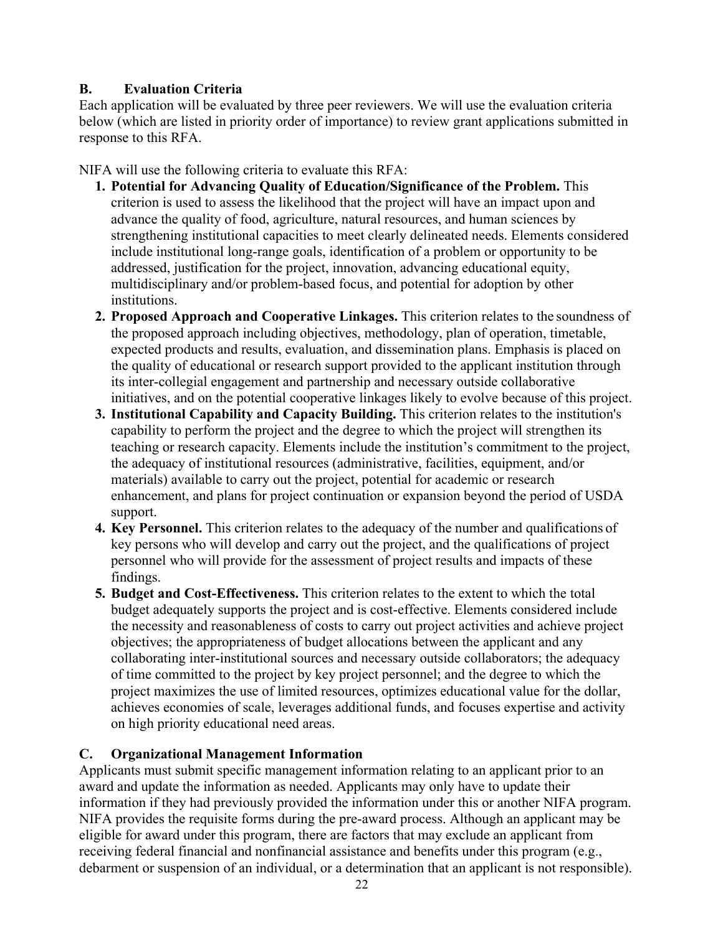## **B. Evaluation Criteria**

Each application will be evaluated by three peer reviewers. We will use the evaluation criteria below (which are listed in priority order of importance) to review grant applications submitted in response to this RFA.

NIFA will use the following criteria to evaluate this RFA:

- **1. Potential for Advancing Quality of Education/Significance of the Problem.** This criterion is used to assess the likelihood that the project will have an impact upon and advance the quality of food, agriculture, natural resources, and human sciences by strengthening institutional capacities to meet clearly delineated needs. Elements considered include institutional long-range goals, identification of a problem or opportunity to be addressed, justification for the project, innovation, advancing educational equity, multidisciplinary and/or problem-based focus, and potential for adoption by other institutions.
- **2. Proposed Approach and Cooperative Linkages.** This criterion relates to the soundness of the proposed approach including objectives, methodology, plan of operation, timetable, expected products and results, evaluation, and dissemination plans. Emphasis is placed on the quality of educational or research support provided to the applicant institution through its inter-collegial engagement and partnership and necessary outside collaborative initiatives, and on the potential cooperative linkages likely to evolve because of this project.
- **3. Institutional Capability and Capacity Building.** This criterion relates to the institution's capability to perform the project and the degree to which the project will strengthen its teaching or research capacity. Elements include the institution's commitment to the project, the adequacy of institutional resources (administrative, facilities, equipment, and/or materials) available to carry out the project, potential for academic or research enhancement, and plans for project continuation or expansion beyond the period of USDA support.
- **4. Key Personnel.** This criterion relates to the adequacy of the number and qualifications of key persons who will develop and carry out the project, and the qualifications of project personnel who will provide for the assessment of project results and impacts of these findings.
- **5. Budget and Cost-Effectiveness.** This criterion relates to the extent to which the total budget adequately supports the project and is cost-effective. Elements considered include the necessity and reasonableness of costs to carry out project activities and achieve project objectives; the appropriateness of budget allocations between the applicant and any collaborating inter-institutional sources and necessary outside collaborators; the adequacy of time committed to the project by key project personnel; and the degree to which the project maximizes the use of limited resources, optimizes educational value for the dollar, achieves economies of scale, leverages additional funds, and focuses expertise and activity on high priority educational need areas.

## <span id="page-21-0"></span>**C. Organizational Management Information**

Applicants must submit specific management information relating to an applicant prior to an award and update the information as needed. Applicants may only have to update their information if they had previously provided the information under this or another NIFA program. NIFA provides the requisite forms during the pre-award process. Although an applicant may be eligible for award under this program, there are factors that may exclude an applicant from receiving federal financial and nonfinancial assistance and benefits under this program (e.g., debarment or suspension of an individual, or a determination that an applicant is not responsible).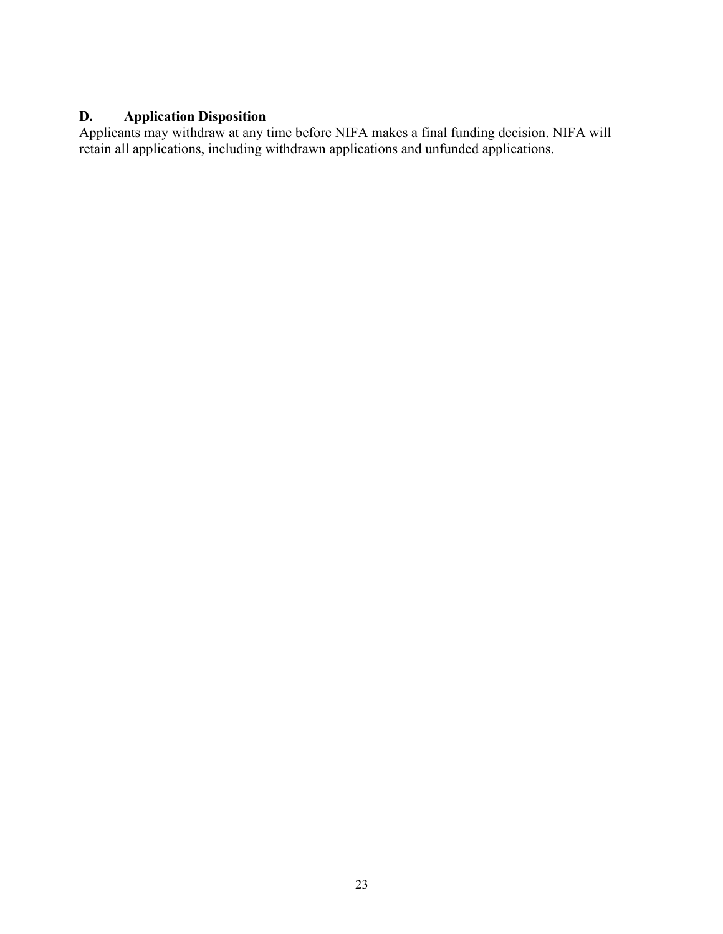## <span id="page-22-0"></span>**D. Application Disposition**

Applicants may withdraw at any time before NIFA makes a final funding decision. NIFA will retain all applications, including withdrawn applications and unfunded applications.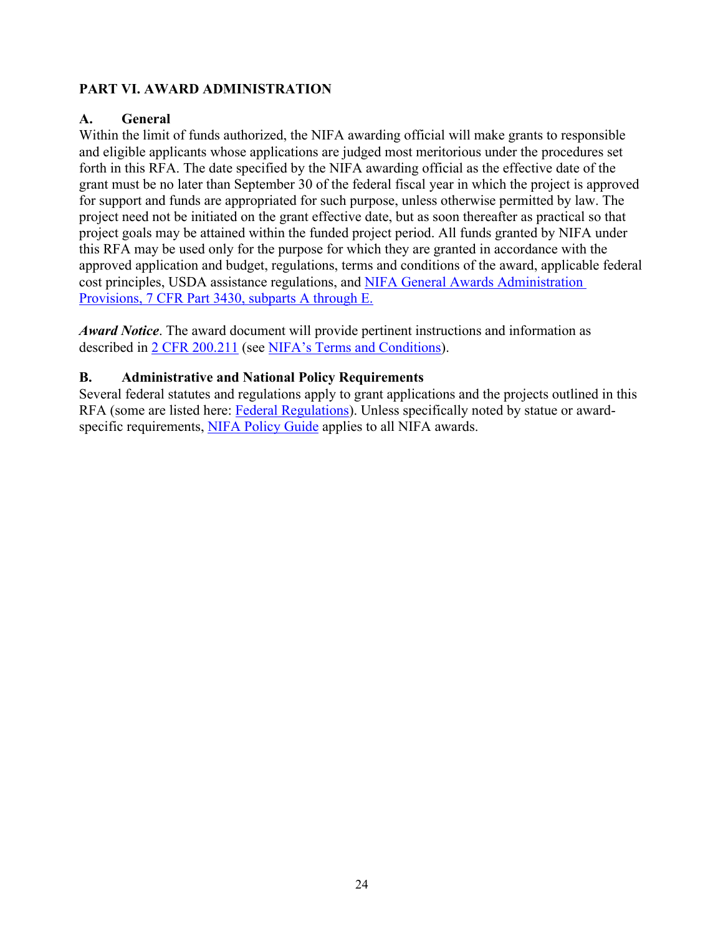## <span id="page-23-0"></span>**PART VI. AWARD ADMINISTRATION**

## <span id="page-23-1"></span>**A. General**

Within the limit of funds authorized, the NIFA awarding official will make grants to responsible and eligible applicants whose applications are judged most meritorious under the procedures set forth in this RFA. The date specified by the NIFA awarding official as the effective date of the grant must be no later than September 30 of the federal fiscal year in which the project is approved for support and funds are appropriated for such purpose, unless otherwise permitted by law. The project need not be initiated on the grant effective date, but as soon thereafter as practical so that project goals may be attained within the funded project period. All funds granted by NIFA under this RFA may be used only for the purpose for which they are granted in accordance with the approved application and budget, regulations, terms and conditions of the award, applicable federal cost principles, USDA assistance regulations, and [NIFA General Awards Administration](https://www.ecfr.gov/cgi-bin/text-idx?SID=1a74011311d649ff6313ca273791b131&mc=true&node=pt7.15.3430&rgn=div5)  [Provisions, 7 CFR Part 3430, subparts A through E.](https://www.ecfr.gov/cgi-bin/text-idx?SID=1a74011311d649ff6313ca273791b131&mc=true&node=pt7.15.3430&rgn=div5)

*Award Notice*. The award document will provide pertinent instructions and information as described in [2 CFR 200.211](https://www.ecfr.gov/cgi-bin/retrieveECFR?gp=&SID=c44a1f8f16917d78ba5ba676eac5fdc3&mc=true&r=SECTION&n=se2.1.200_1211) (see [NIFA's Terms and Conditions\)](https://nifa.usda.gov/terms-and-conditions).

## <span id="page-23-2"></span>**B. Administrative and National Policy Requirements**

Several federal statutes and regulations apply to grant applications and the projects outlined in this RFA (some are listed here: [Federal Regulations\)](https://nifa.usda.gov/federal-regulations). Unless specifically noted by statue or award-specific requirements, [NIFA Policy Guide](https://nifa.usda.gov/policy-guide) applies to all NIFA awards.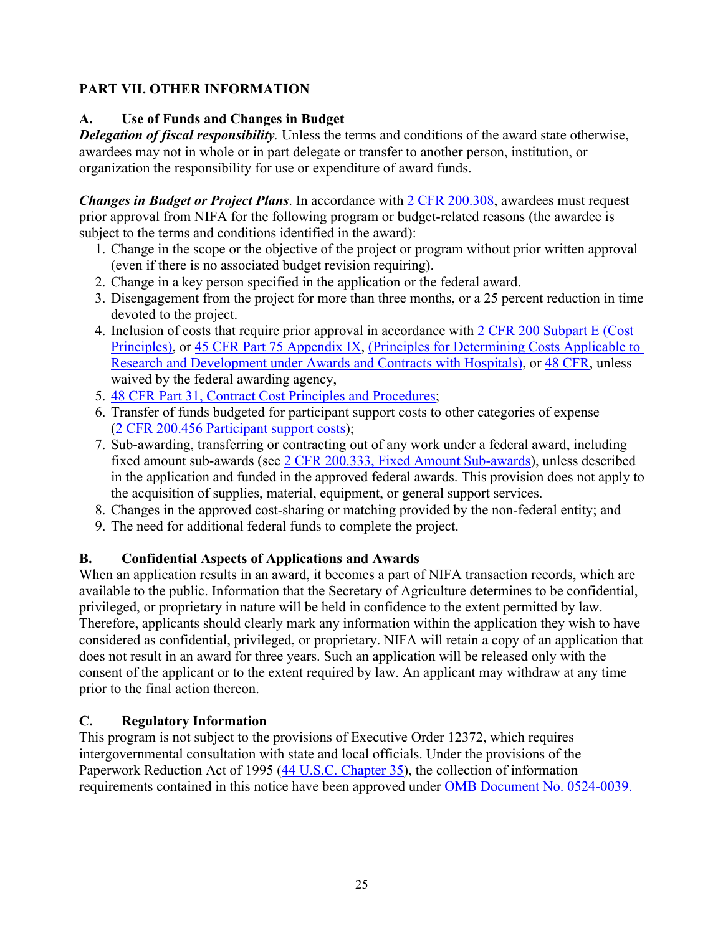## <span id="page-24-0"></span>**PART VII. OTHER INFORMATION**

## <span id="page-24-1"></span>**A. Use of Funds and Changes in Budget**

*Delegation of fiscal responsibility.* Unless the terms and conditions of the award state otherwise, awardees may not in whole or in part delegate or transfer to another person, institution, or organization the responsibility for use or expenditure of award funds.

*Changes in Budget or Project Plans*. In accordance with [2 CFR 200.308,](https://www.ecfr.gov/cgi-bin/text-idx?SID=3af89506559b05297e7d0334cb283e24&mc=true&node=se2.1.200_1308&rgn=div8) awardees must request prior approval from NIFA for the following program or budget-related reasons (the awardee is subject to the terms and conditions identified in the award):

- 1. Change in the scope or the objective of the project or program without prior written approval (even if there is no associated budget revision requiring).
- 2. Change in a key person specified in the application or the federal award.
- 3. Disengagement from the project for more than three months, or a 25 percent reduction in time devoted to the project.
- 4. Inclusion of costs that require prior approval in accordance with [2 CFR 200 Subpart E \(Cost](https://www.ecfr.gov/cgi-bin/text-idx?SID=dc069d42776cd3451f66232d56026057&mc=true&node=pt2.1.200&rgn=div5#sp2.1.200.e)  [Principles\),](https://www.ecfr.gov/cgi-bin/text-idx?SID=dc069d42776cd3451f66232d56026057&mc=true&node=pt2.1.200&rgn=div5#sp2.1.200.e) or [45 CFR Part 75 Appendix IX,](https://www.ecfr.gov/cgi-bin/text-idx?node=pt45.1.75#ap45.1.75_1521.ix) [\(Principles for Determining Costs Applicable to](https://www.ecfr.gov/cgi-bin/text-idx?node=pt45.1.75#ap45.1.75_1521.ix)  [Research and Development under Awards and Contracts with Hospitals\)](https://www.ecfr.gov/cgi-bin/text-idx?node=pt45.1.75#ap45.1.75_1521.ix), or [48 CFR,](https://www.ecfr.gov/cgi-bin/text-idx?SID=4d9d83a5cef52c19c5ff83421fa48a4b&mc=true&tpl=/ecfrbrowse/Title48/48tab_02.tpl) unless waived by the federal awarding agency,
- 5. [48 CFR Part 31, Contract Cost Principles and Procedures;](https://www.ecfr.gov/cgi-bin/text-idx?SID=4d9d83a5cef52c19c5ff83421fa48a4b&mc=true&node=pt48.1.31&rgn=div5)
- 6. Transfer of funds budgeted for participant support costs to other categories of expense [\(2 CFR 200.456 Participant support costs\)](https://www.ecfr.gov/cgi-bin/text-idx?SID=875f7422535a157681c65d5ff44deb32&mc=true&node=pt2.1.200&rgn=div5#se2.1.200_1456);
- 7. Sub-awarding, transferring or contracting out of any work under a federal award, including fixed amount sub-awards (see [2 CFR 200.333, Fixed Amount Sub-awards\)](https://www.ecfr.gov/cgi-bin/text-idx?SID=9eaf9554e1f32bf0d83aca55646e9b7e&mc=true&node=pt2.1.200&rgn=div5#se2.1.200_1333), unless described in the application and funded in the approved federal awards. This provision does not apply to the acquisition of supplies, material, equipment, or general support services.
- 8. Changes in the approved cost-sharing or matching provided by the non-federal entity; and
- 9. The need for additional federal funds to complete the project.

## <span id="page-24-2"></span>**B. Confidential Aspects of Applications and Awards**

When an application results in an award, it becomes a part of NIFA transaction records, which are available to the public. Information that the Secretary of Agriculture determines to be confidential, privileged, or proprietary in nature will be held in confidence to the extent permitted by law. Therefore, applicants should clearly mark any information within the application they wish to have considered as confidential, privileged, or proprietary. NIFA will retain a copy of an application that does not result in an award for three years. Such an application will be released only with the consent of the applicant or to the extent required by law. An applicant may withdraw at any time prior to the final action thereon.

## <span id="page-24-3"></span>**C. Regulatory Information**

This program is not subject to the provisions of [Executive Order 12372,](https://www.fws.gov/policy/library/rgeo12372.pdf) which requires intergovernmental consultation with state and local officials. Under the provisions of the [Paperwork Reduction Act of 1995](https://www.reginfo.gov/public/reginfo/pra.pdf) [\(44 U.S.C. Chapter 35\)](http://uscode.house.gov/view.xhtml?path=/prelim@title44/chapter35&edition=prelim), the collection of information requirements contained in this notice have been approved under [OMB Document No. 0524-0039.](https://www.federalregister.gov/documents/2018/10/29/2018-23552/submission-for-omb-review-comment-request)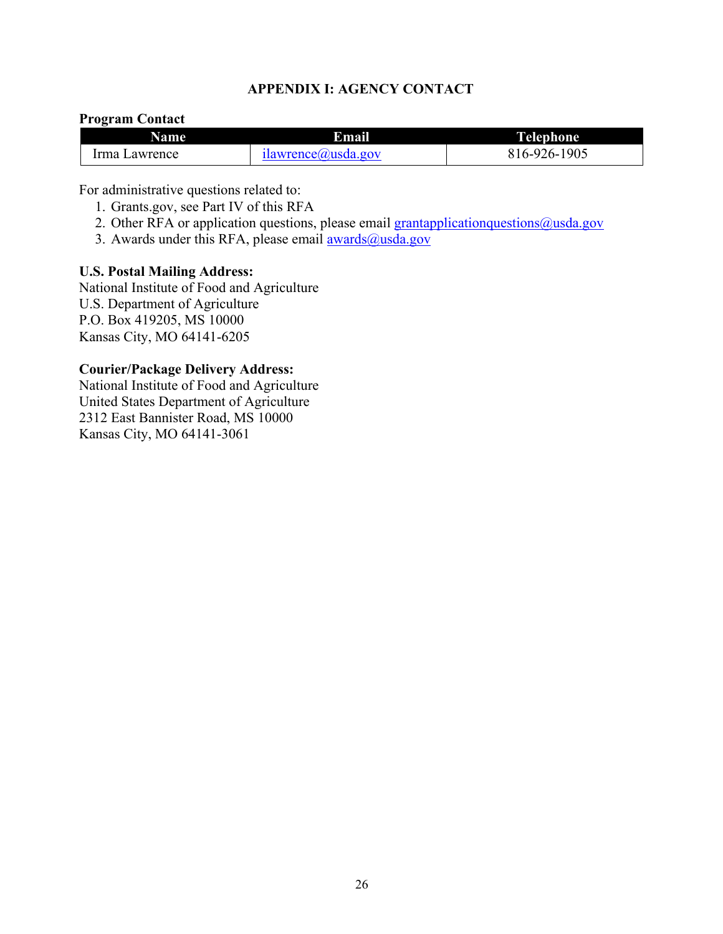#### **APPENDIX I: AGENCY CONTACT**

#### <span id="page-25-0"></span>**Program Contact**

| Name          | Email              | Telephone    |
|---------------|--------------------|--------------|
| Irma Lawrence | ilawrence@usda.gov | 816-926-1905 |

For administrative questions related to:

- 1. Grants.gov, see Part IV of this RFA
- 2. Other RFA or application questions, please email grantapplication questions  $@$ usda.gov
- 3. Awards under this RFA, please email  $\frac{awards(0) \text{usda.gov}}{awards(1)}$

#### **U.S. Postal Mailing Address:**

National Institute of Food and Agriculture U.S. Department of Agriculture P.O. Box 419205, MS 10000 Kansas City, MO 64141-6205

#### **Courier/Package Delivery Address:**

National Institute of Food and Agriculture United States Department of Agriculture 2312 East Bannister Road, MS 10000 Kansas City, MO 64141-3061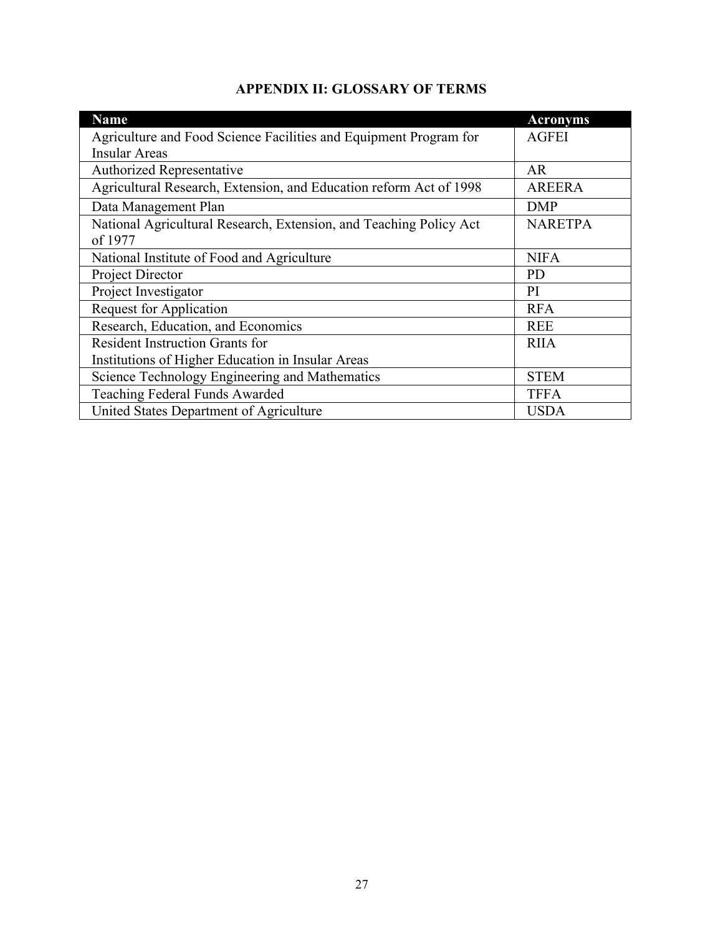<span id="page-26-0"></span>

| <b>Name</b>                                                        | <b>Acronyms</b> |  |  |  |
|--------------------------------------------------------------------|-----------------|--|--|--|
| Agriculture and Food Science Facilities and Equipment Program for  | <b>AGFEI</b>    |  |  |  |
| <b>Insular Areas</b>                                               |                 |  |  |  |
| <b>Authorized Representative</b>                                   | AR              |  |  |  |
| Agricultural Research, Extension, and Education reform Act of 1998 | <b>AREERA</b>   |  |  |  |
| Data Management Plan                                               | <b>DMP</b>      |  |  |  |
| National Agricultural Research, Extension, and Teaching Policy Act | <b>NARETPA</b>  |  |  |  |
| of 1977                                                            |                 |  |  |  |
| National Institute of Food and Agriculture                         | <b>NIFA</b>     |  |  |  |
| Project Director                                                   | <b>PD</b>       |  |  |  |
| Project Investigator                                               | PI              |  |  |  |
| <b>Request for Application</b>                                     | <b>RFA</b>      |  |  |  |
| Research, Education, and Economics                                 | <b>REE</b>      |  |  |  |
| <b>Resident Instruction Grants for</b>                             | <b>RIIA</b>     |  |  |  |
| Institutions of Higher Education in Insular Areas                  |                 |  |  |  |
| Science Technology Engineering and Mathematics                     | <b>STEM</b>     |  |  |  |
| Teaching Federal Funds Awarded                                     | <b>TFFA</b>     |  |  |  |
| United States Department of Agriculture                            | <b>USDA</b>     |  |  |  |

## **APPENDIX II: GLOSSARY OF TERMS**